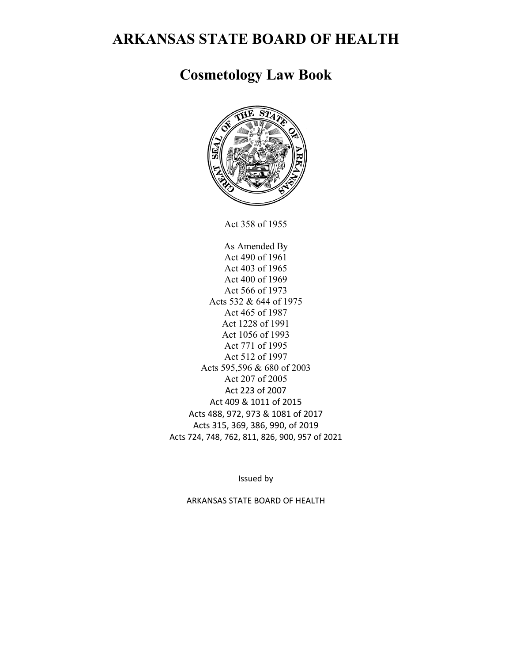# **ARKANSAS STATE BOARD OF HEALTH**

# **Cosmetology Law Book**



Act 358 of 1955

As Amended By Act 490 of 1961 Act 403 of 1965 Act 400 of 1969 Act 566 of 1973 Acts 532 & 644 of 1975 Act 465 of 1987 Act 1228 of 1991 Act 1056 of 1993 Act 771 of 1995 Act 512 of 1997 Acts 595,596 & 680 of 2003 Act 207 of 2005 Act 223 of 2007 Act 409 & 1011 of 2015 Acts 488, 972, 973 & 1081 of 2017 Acts 315, 369, 386, 990, of 2019 Acts 724, 748, 762, 811, 826, 900, 957 of 2021

Issued by

ARKANSAS STATE BOARD OF HEALTH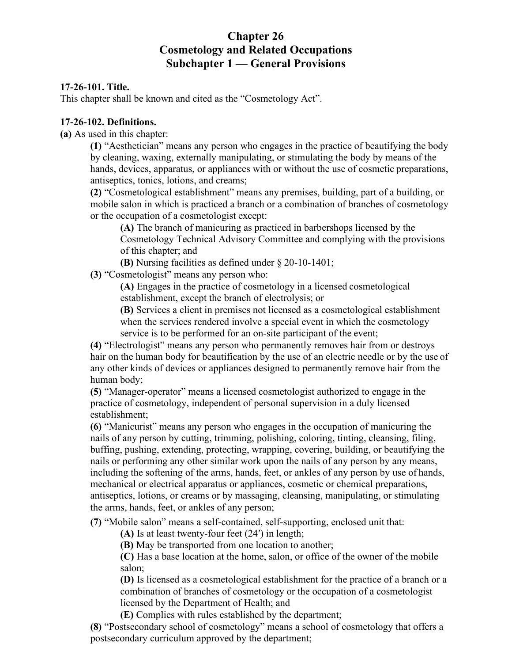# **Chapter 26 Cosmetology and Related Occupations Subchapter 1 — General Provisions**

#### **17-26-101. Title.**

This chapter shall be known and cited as the "Cosmetology Act".

#### **17-26-102. Definitions.**

**(a)** As used in this chapter:

**(1)** "Aesthetician" means any person who engages in the practice of beautifying the body by cleaning, waxing, externally manipulating, or stimulating the body by means of the hands, devices, apparatus, or appliances with or without the use of cosmetic preparations, antiseptics, tonics, lotions, and creams;

**(2)** "Cosmetological establishment" means any premises, building, part of a building, or mobile salon in which is practiced a branch or a combination of branches of cosmetology or the occupation of a cosmetologist except:

**(A)** The branch of manicuring as practiced in barbershops licensed by the Cosmetology Technical Advisory Committee and complying with the provisions of this chapter; and

**(B)** Nursing facilities as defined under § 20-10-1401;

**(3)** "Cosmetologist" means any person who:

**(A)** Engages in the practice of cosmetology in a licensed cosmetological establishment, except the branch of electrolysis; or

**(B)** Services a client in premises not licensed as a cosmetological establishment when the services rendered involve a special event in which the cosmetology service is to be performed for an on-site participant of the event;

**(4)** "Electrologist" means any person who permanently removes hair from or destroys hair on the human body for beautification by the use of an electric needle or by the use of any other kinds of devices or appliances designed to permanently remove hair from the human body;

**(5)** "Manager-operator" means a licensed cosmetologist authorized to engage in the practice of cosmetology, independent of personal supervision in a duly licensed establishment;

**(6)** "Manicurist" means any person who engages in the occupation of manicuring the nails of any person by cutting, trimming, polishing, coloring, tinting, cleansing, filing, buffing, pushing, extending, protecting, wrapping, covering, building, or beautifying the nails or performing any other similar work upon the nails of any person by any means, including the softening of the arms, hands, feet, or ankles of any person by use of hands, mechanical or electrical apparatus or appliances, cosmetic or chemical preparations, antiseptics, lotions, or creams or by massaging, cleansing, manipulating, or stimulating the arms, hands, feet, or ankles of any person;

**(7)** "Mobile salon" means a self-contained, self-supporting, enclosed unit that:

**(A)** Is at least twenty-four feet (24′) in length;

**(B)** May be transported from one location to another;

**(C)** Has a base location at the home, salon, or office of the owner of the mobile salon;

**(D)** Is licensed as a cosmetological establishment for the practice of a branch or a combination of branches of cosmetology or the occupation of a cosmetologist licensed by the Department of Health; and

**(E)** Complies with rules established by the department;

**(8)** "Postsecondary school of cosmetology" means a school of cosmetology that offers a postsecondary curriculum approved by the department;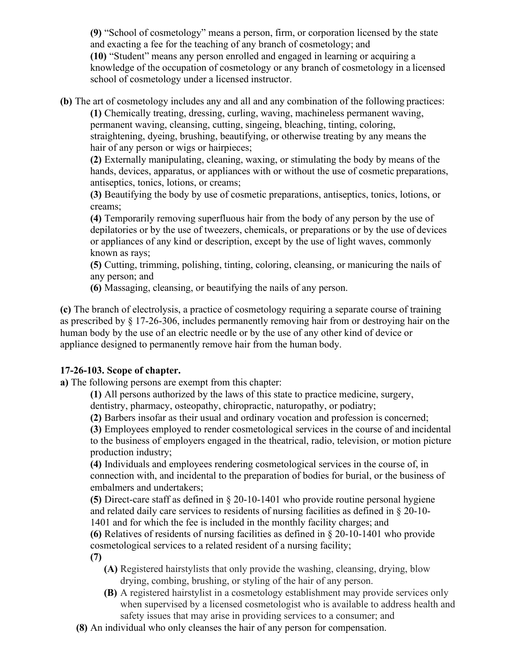**(9)** "School of cosmetology" means a person, firm, or corporation licensed by the state and exacting a fee for the teaching of any branch of cosmetology; and **(10)** "Student" means any person enrolled and engaged in learning or acquiring a knowledge of the occupation of cosmetology or any branch of cosmetology in a licensed school of cosmetology under a licensed instructor.

**(b)** The art of cosmetology includes any and all and any combination of the following practices:

**(1)** Chemically treating, dressing, curling, waving, machineless permanent waving, permanent waving, cleansing, cutting, singeing, bleaching, tinting, coloring, straightening, dyeing, brushing, beautifying, or otherwise treating by any means the hair of any person or wigs or hairpieces;

**(2)** Externally manipulating, cleaning, waxing, or stimulating the body by means of the hands, devices, apparatus, or appliances with or without the use of cosmetic preparations, antiseptics, tonics, lotions, or creams;

**(3)** Beautifying the body by use of cosmetic preparations, antiseptics, tonics, lotions, or creams;

**(4)** Temporarily removing superfluous hair from the body of any person by the use of depilatories or by the use of tweezers, chemicals, or preparations or by the use of devices or appliances of any kind or description, except by the use of light waves, commonly known as rays;

**(5)** Cutting, trimming, polishing, tinting, coloring, cleansing, or manicuring the nails of any person; and

**(6)** Massaging, cleansing, or beautifying the nails of any person.

**(c)** The branch of electrolysis, a practice of cosmetology requiring a separate course of training as prescribed by § 17-26-306, includes permanently removing hair from or destroying hair on the human body by the use of an electric needle or by the use of any other kind of device or appliance designed to permanently remove hair from the human body.

# **17-26-103. Scope of chapter.**

**a)** The following persons are exempt from this chapter:

**(1)** All persons authorized by the laws of this state to practice medicine, surgery, dentistry, pharmacy, osteopathy, chiropractic, naturopathy, or podiatry;

**(2)** Barbers insofar as their usual and ordinary vocation and profession is concerned;

**(3)** Employees employed to render cosmetological services in the course of and incidental to the business of employers engaged in the theatrical, radio, television, or motion picture production industry;

**(4)** Individuals and employees rendering cosmetological services in the course of, in connection with, and incidental to the preparation of bodies for burial, or the business of embalmers and undertakers;

**(5)** Direct-care staff as defined in § 20-10-1401 who provide routine personal hygiene and related daily care services to residents of nursing facilities as defined in § 20-10- 1401 and for which the fee is included in the monthly facility charges; and

**(6)** Relatives of residents of nursing facilities as defined in § 20-10-1401 who provide cosmetological services to a related resident of a nursing facility;

**(7)**

- **(A)** Registered hairstylists that only provide the washing, cleansing, drying, blow drying, combing, brushing, or styling of the hair of any person.
- **(B)** A registered hairstylist in a cosmetology establishment may provide services only when supervised by a licensed cosmetologist who is available to address health and safety issues that may arise in providing services to a consumer; and
- **(8)** An individual who only cleanses the hair of any person for compensation.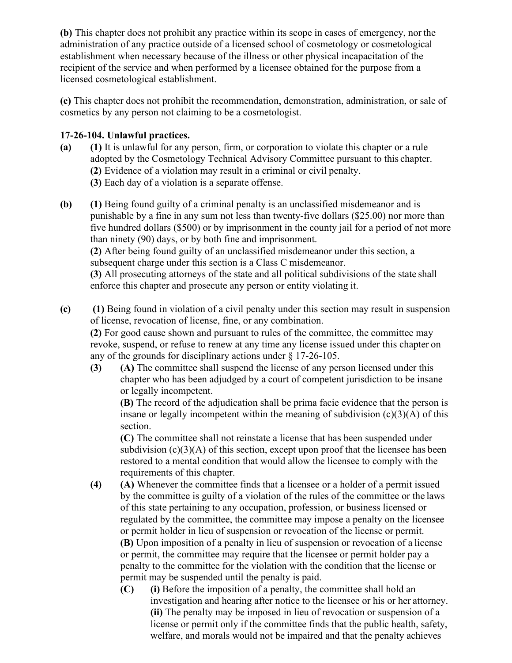**(b)** This chapter does not prohibit any practice within its scope in cases of emergency, nor the administration of any practice outside of a licensed school of cosmetology or cosmetological establishment when necessary because of the illness or other physical incapacitation of the recipient of the service and when performed by a licensee obtained for the purpose from a licensed cosmetological establishment.

**(c)** This chapter does not prohibit the recommendation, demonstration, administration, or sale of cosmetics by any person not claiming to be a cosmetologist.

#### **17-26-104. Unlawful practices.**

- **(a) (1)** It is unlawful for any person, firm, or corporation to violate this chapter or a rule adopted by the Cosmetology Technical Advisory Committee pursuant to this chapter. **(2)** Evidence of a violation may result in a criminal or civil penalty.
	- **(3)** Each day of a violation is a separate offense.
- **(b) (1)** Being found guilty of a criminal penalty is an unclassified misdemeanor and is punishable by a fine in any sum not less than twenty-five dollars (\$25.00) nor more than five hundred dollars (\$500) or by imprisonment in the county jail for a period of not more than ninety (90) days, or by both fine and imprisonment. **(2)** After being found guilty of an unclassified misdemeanor under this section, a

subsequent charge under this section is a Class C misdemeanor.

**(3)** All prosecuting attorneys of the state and all political subdivisions of the state shall enforce this chapter and prosecute any person or entity violating it.

**(c) (1)** Being found in violation of a civil penalty under this section may result in suspension of license, revocation of license, fine, or any combination.

**(2)** For good cause shown and pursuant to rules of the committee, the committee may revoke, suspend, or refuse to renew at any time any license issued under this chapter on any of the grounds for disciplinary actions under § 17-26-105.

**(3) (A)** The committee shall suspend the license of any person licensed under this chapter who has been adjudged by a court of competent jurisdiction to be insane or legally incompetent.

**(B)** The record of the adjudication shall be prima facie evidence that the person is insane or legally incompetent within the meaning of subdivision  $(c)(3)(A)$  of this section.

**(C)** The committee shall not reinstate a license that has been suspended under subdivision  $(c)(3)(A)$  of this section, except upon proof that the licensee has been restored to a mental condition that would allow the licensee to comply with the requirements of this chapter.

**(4) (A)** Whenever the committee finds that a licensee or a holder of a permit issued by the committee is guilty of a violation of the rules of the committee or the laws of this state pertaining to any occupation, profession, or business licensed or regulated by the committee, the committee may impose a penalty on the licensee or permit holder in lieu of suspension or revocation of the license or permit. **(B)** Upon imposition of a penalty in lieu of suspension or revocation of a license

or permit, the committee may require that the licensee or permit holder pay a penalty to the committee for the violation with the condition that the license or permit may be suspended until the penalty is paid.

**(C) (i)** Before the imposition of a penalty, the committee shall hold an investigation and hearing after notice to the licensee or his or her attorney. **(ii)** The penalty may be imposed in lieu of revocation or suspension of a license or permit only if the committee finds that the public health, safety, welfare, and morals would not be impaired and that the penalty achieves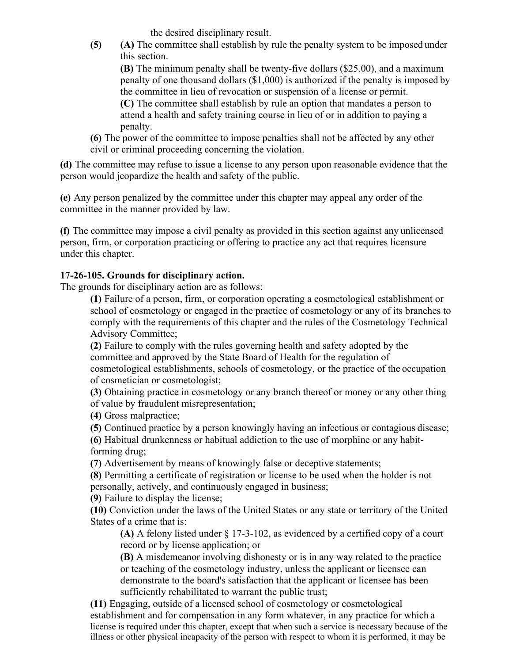the desired disciplinary result.

**(5) (A)** The committee shall establish by rule the penalty system to be imposed under this section.

**(B)** The minimum penalty shall be twenty-five dollars (\$25.00), and a maximum penalty of one thousand dollars (\$1,000) is authorized if the penalty is imposed by the committee in lieu of revocation or suspension of a license or permit.

**(C)** The committee shall establish by rule an option that mandates a person to attend a health and safety training course in lieu of or in addition to paying a penalty.

**(6)** The power of the committee to impose penalties shall not be affected by any other civil or criminal proceeding concerning the violation.

**(d)** The committee may refuse to issue a license to any person upon reasonable evidence that the person would jeopardize the health and safety of the public.

**(e)** Any person penalized by the committee under this chapter may appeal any order of the committee in the manner provided by law.

**(f)** The committee may impose a civil penalty as provided in this section against any unlicensed person, firm, or corporation practicing or offering to practice any act that requires licensure under this chapter.

#### **17-26-105. Grounds for disciplinary action.**

The grounds for disciplinary action are as follows:

**(1)** Failure of a person, firm, or corporation operating a cosmetological establishment or school of cosmetology or engaged in the practice of cosmetology or any of its branches to comply with the requirements of this chapter and the rules of the Cosmetology Technical Advisory Committee;

**(2)** Failure to comply with the rules governing health and safety adopted by the committee and approved by the State Board of Health for the regulation of cosmetological establishments, schools of cosmetology, or the practice of the occupation of cosmetician or cosmetologist;

**(3)** Obtaining practice in cosmetology or any branch thereof or money or any other thing of value by fraudulent misrepresentation;

**(4)** Gross malpractice;

**(5)** Continued practice by a person knowingly having an infectious or contagious disease;

**(6)** Habitual drunkenness or habitual addiction to the use of morphine or any habitforming drug;

**(7)** Advertisement by means of knowingly false or deceptive statements;

**(8)** Permitting a certificate of registration or license to be used when the holder is not personally, actively, and continuously engaged in business;

**(9)** Failure to display the license;

**(10)** Conviction under the laws of the United States or any state or territory of the United States of a crime that is:

**(A)** A felony listed under § 17-3-102, as evidenced by a certified copy of a court record or by license application; or

**(B)** A misdemeanor involving dishonesty or is in any way related to the practice or teaching of the cosmetology industry, unless the applicant or licensee can demonstrate to the board's satisfaction that the applicant or licensee has been sufficiently rehabilitated to warrant the public trust;

**(11)** Engaging, outside of a licensed school of cosmetology or cosmetological establishment and for compensation in any form whatever, in any practice for which a license is required under this chapter, except that when such a service is necessary because of the illness or other physical incapacity of the person with respect to whom it is performed, it may be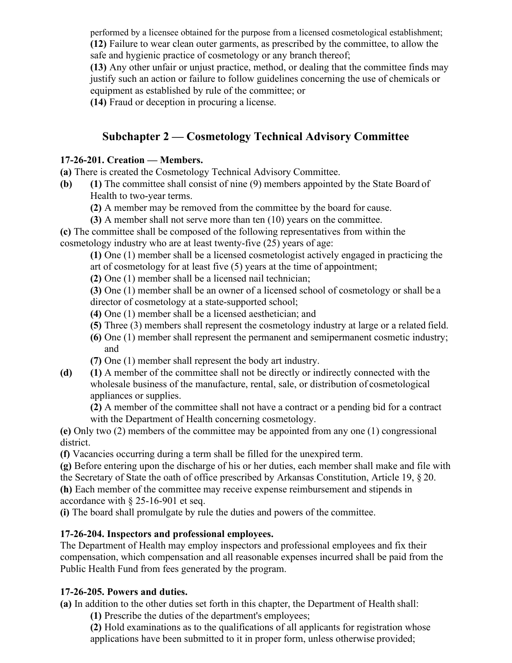performed by a licensee obtained for the purpose from a licensed cosmetological establishment; **(12)** Failure to wear clean outer garments, as prescribed by the committee, to allow the safe and hygienic practice of cosmetology or any branch thereof;

**(13)** Any other unfair or unjust practice, method, or dealing that the committee finds may justify such an action or failure to follow guidelines concerning the use of chemicals or equipment as established by rule of the committee; or

**(14)** Fraud or deception in procuring a license.

# **Subchapter 2 — Cosmetology Technical Advisory Committee**

#### **17-26-201. Creation — Members.**

**(a)** There is created the Cosmetology Technical Advisory Committee.

- **(b) (1)** The committee shall consist of nine (9) members appointed by the State Board of Health to two-year terms.
	- **(2)** A member may be removed from the committee by the board for cause.
	- **(3)** A member shall not serve more than ten (10) years on the committee.

**(c)** The committee shall be composed of the following representatives from within the cosmetology industry who are at least twenty-five (25) years of age:

**(1)** One (1) member shall be a licensed cosmetologist actively engaged in practicing the art of cosmetology for at least five (5) years at the time of appointment;

**(2)** One (1) member shall be a licensed nail technician;

**(3)** One (1) member shall be an owner of a licensed school of cosmetology or shall be a director of cosmetology at a state-supported school;

- **(4)** One (1) member shall be a licensed aesthetician; and
- **(5)** Three (3) members shall represent the cosmetology industry at large or a related field.
- **(6)** One (1) member shall represent the permanent and semipermanent cosmetic industry; and
- **(7)** One (1) member shall represent the body art industry.
- **(d) (1)** A member of the committee shall not be directly or indirectly connected with the wholesale business of the manufacture, rental, sale, or distribution of cosmetological appliances or supplies.

**(2)** A member of the committee shall not have a contract or a pending bid for a contract with the Department of Health concerning cosmetology.

**(e)** Only two (2) members of the committee may be appointed from any one (1) congressional district.

**(f)** Vacancies occurring during a term shall be filled for the unexpired term.

**(g)** Before entering upon the discharge of his or her duties, each member shall make and file with the Secretary of State the oath of office prescribed by Arkansas Constitution, Article 19, § 20.

**(h)** Each member of the committee may receive expense reimbursement and stipends in accordance with § 25-16-901 et seq.

**(i)** The board shall promulgate by rule the duties and powers of the committee.

# **17-26-204. Inspectors and professional employees.**

The Department of Health may employ inspectors and professional employees and fix their compensation, which compensation and all reasonable expenses incurred shall be paid from the Public Health Fund from fees generated by the program.

# **17-26-205. Powers and duties.**

**(a)** In addition to the other duties set forth in this chapter, the Department of Health shall:

**(1)** Prescribe the duties of the department's employees;

**(2)** Hold examinations as to the qualifications of all applicants for registration whose applications have been submitted to it in proper form, unless otherwise provided;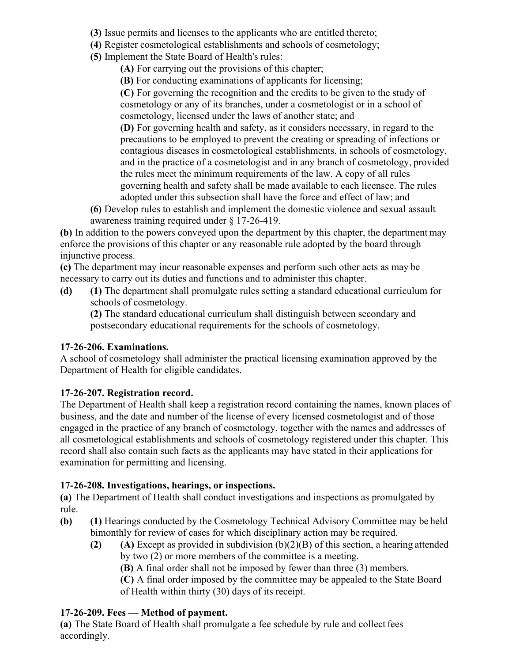- **(3)** Issue permits and licenses to the applicants who are entitled thereto;
- **(4)** Register cosmetological establishments and schools of cosmetology;
- **(5)** Implement the State Board of Health's rules:
	- **(A)** For carrying out the provisions of this chapter;
	- **(B)** For conducting examinations of applicants for licensing;

**(C)** For governing the recognition and the credits to be given to the study of cosmetology or any of its branches, under a cosmetologist or in a school of cosmetology, licensed under the laws of another state; and

**(D)** For governing health and safety, as it considers necessary, in regard to the precautions to be employed to prevent the creating or spreading of infections or contagious diseases in cosmetological establishments, in schools of cosmetology, and in the practice of a cosmetologist and in any branch of cosmetology, provided the rules meet the minimum requirements of the law. A copy of all rules governing health and safety shall be made available to each licensee. The rules adopted under this subsection shall have the force and effect of law; and

**(6)** Develop rules to establish and implement the domestic violence and sexual assault awareness training required under § 17-26-419.

**(b)** In addition to the powers conveyed upon the department by this chapter, the department may enforce the provisions of this chapter or any reasonable rule adopted by the board through injunctive process.

**(c)** The department may incur reasonable expenses and perform such other acts as may be necessary to carry out its duties and functions and to administer this chapter.

**(d) (1)** The department shall promulgate rules setting a standard educational curriculum for schools of cosmetology.

**(2)** The standard educational curriculum shall distinguish between secondary and postsecondary educational requirements for the schools of cosmetology.

# **17-26-206. Examinations.**

A school of cosmetology shall administer the practical licensing examination approved by the Department of Health for eligible candidates.

# **17-26-207. Registration record.**

The Department of Health shall keep a registration record containing the names, known places of business, and the date and number of the license of every licensed cosmetologist and of those engaged in the practice of any branch of cosmetology, together with the names and addresses of all cosmetological establishments and schools of cosmetology registered under this chapter. This record shall also contain such facts as the applicants may have stated in their applications for examination for permitting and licensing.

#### **17-26-208. Investigations, hearings, or inspections.**

**(a)** The Department of Health shall conduct investigations and inspections as promulgated by rule.

- **(b) (1)** Hearings conducted by the Cosmetology Technical Advisory Committee may be held bimonthly for review of cases for which disciplinary action may be required.
	- **(2) (A)** Except as provided in subdivision (b)(2)(B) of this section, a hearing attended by two (2) or more members of the committee is a meeting.

**(B)** A final order shall not be imposed by fewer than three (3) members.

**(C)** A final order imposed by the committee may be appealed to the State Board of Health within thirty (30) days of its receipt.

# **17-26-209. Fees — Method of payment.**

**(a)** The State Board of Health shall promulgate a fee schedule by rule and collect fees accordingly.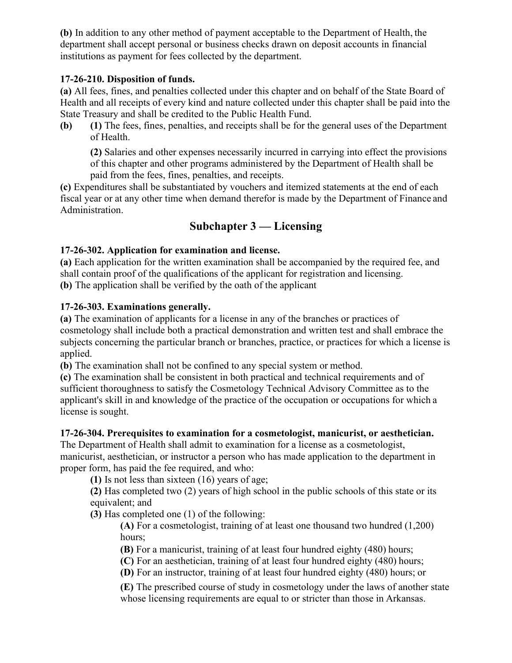**(b)** In addition to any other method of payment acceptable to the Department of Health, the department shall accept personal or business checks drawn on deposit accounts in financial institutions as payment for fees collected by the department.

#### **17-26-210. Disposition of funds.**

**(a)** All fees, fines, and penalties collected under this chapter and on behalf of the State Board of Health and all receipts of every kind and nature collected under this chapter shall be paid into the State Treasury and shall be credited to the Public Health Fund.

**(b) (1)** The fees, fines, penalties, and receipts shall be for the general uses of the Department of Health.

**(2)** Salaries and other expenses necessarily incurred in carrying into effect the provisions of this chapter and other programs administered by the Department of Health shall be paid from the fees, fines, penalties, and receipts.

**(c)** Expenditures shall be substantiated by vouchers and itemized statements at the end of each fiscal year or at any other time when demand therefor is made by the Department of Finance and Administration.

# **Subchapter 3 — Licensing**

# **17-26-302. Application for examination and license.**

**(a)** Each application for the written examination shall be accompanied by the required fee, and shall contain proof of the qualifications of the applicant for registration and licensing. **(b)** The application shall be verified by the oath of the applicant

#### **17-26-303. Examinations generally.**

**(a)** The examination of applicants for a license in any of the branches or practices of cosmetology shall include both a practical demonstration and written test and shall embrace the subjects concerning the particular branch or branches, practice, or practices for which a license is applied.

**(b)** The examination shall not be confined to any special system or method.

**(c)** The examination shall be consistent in both practical and technical requirements and of sufficient thoroughness to satisfy the Cosmetology Technical Advisory Committee as to the applicant's skill in and knowledge of the practice of the occupation or occupations for which a license is sought.

#### **17-26-304. Prerequisites to examination for a cosmetologist, manicurist, or aesthetician.**

The Department of Health shall admit to examination for a license as a cosmetologist, manicurist, aesthetician, or instructor a person who has made application to the department in proper form, has paid the fee required, and who:

**(1)** Is not less than sixteen (16) years of age;

**(2)** Has completed two (2) years of high school in the public schools of this state or its equivalent; and

**(3)** Has completed one (1) of the following:

**(A)** For a cosmetologist, training of at least one thousand two hundred (1,200) hours;

**(B)** For a manicurist, training of at least four hundred eighty (480) hours;

**(C)** For an aesthetician, training of at least four hundred eighty (480) hours;

**(D)** For an instructor, training of at least four hundred eighty (480) hours; or

**(E)** The prescribed course of study in cosmetology under the laws of another state whose licensing requirements are equal to or stricter than those in Arkansas.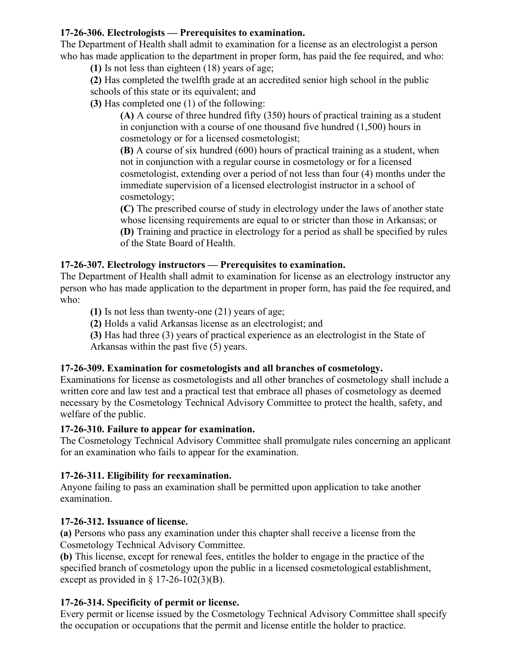#### **17-26-306. Electrologists — Prerequisites to examination.**

The Department of Health shall admit to examination for a license as an electrologist a person who has made application to the department in proper form, has paid the fee required, and who:

**(1)** Is not less than eighteen (18) years of age;

**(2)** Has completed the twelfth grade at an accredited senior high school in the public schools of this state or its equivalent; and

**(3)** Has completed one (1) of the following:

**(A)** A course of three hundred fifty (350) hours of practical training as a student in conjunction with a course of one thousand five hundred (1,500) hours in cosmetology or for a licensed cosmetologist;

**(B)** A course of six hundred (600) hours of practical training as a student, when not in conjunction with a regular course in cosmetology or for a licensed cosmetologist, extending over a period of not less than four (4) months under the immediate supervision of a licensed electrologist instructor in a school of cosmetology;

**(C)** The prescribed course of study in electrology under the laws of another state whose licensing requirements are equal to or stricter than those in Arkansas; or **(D)** Training and practice in electrology for a period as shall be specified by rules of the State Board of Health.

# **17-26-307. Electrology instructors — Prerequisites to examination.**

The Department of Health shall admit to examination for license as an electrology instructor any person who has made application to the department in proper form, has paid the fee required, and who:

**(1)** Is not less than twenty-one (21) years of age;

**(2)** Holds a valid Arkansas license as an electrologist; and

**(3)** Has had three (3) years of practical experience as an electrologist in the State of Arkansas within the past five (5) years.

# **17-26-309. Examination for cosmetologists and all branches of cosmetology.**

Examinations for license as cosmetologists and all other branches of cosmetology shall include a written core and law test and a practical test that embrace all phases of cosmetology as deemed necessary by the Cosmetology Technical Advisory Committee to protect the health, safety, and welfare of the public.

# **17-26-310. Failure to appear for examination.**

The Cosmetology Technical Advisory Committee shall promulgate rules concerning an applicant for an examination who fails to appear for the examination.

# **17-26-311. Eligibility for reexamination.**

Anyone failing to pass an examination shall be permitted upon application to take another examination.

# **17-26-312. Issuance of license.**

**(a)** Persons who pass any examination under this chapter shall receive a license from the Cosmetology Technical Advisory Committee.

**(b)** This license, except for renewal fees, entitles the holder to engage in the practice of the specified branch of cosmetology upon the public in a licensed cosmetological establishment, except as provided in  $\S$  17-26-102(3)(B).

# **17-26-314. Specificity of permit or license.**

Every permit or license issued by the Cosmetology Technical Advisory Committee shall specify the occupation or occupations that the permit and license entitle the holder to practice.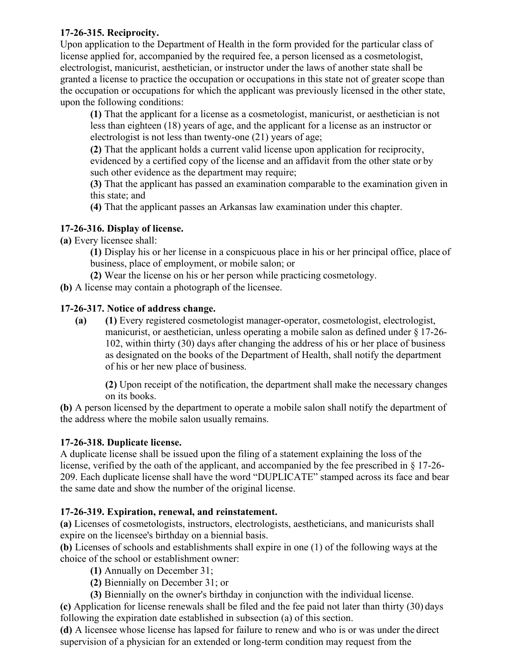#### **17-26-315. Reciprocity.**

Upon application to the Department of Health in the form provided for the particular class of license applied for, accompanied by the required fee, a person licensed as a cosmetologist, electrologist, manicurist, aesthetician, or instructor under the laws of another state shall be granted a license to practice the occupation or occupations in this state not of greater scope than the occupation or occupations for which the applicant was previously licensed in the other state, upon the following conditions:

**(1)** That the applicant for a license as a cosmetologist, manicurist, or aesthetician is not less than eighteen (18) years of age, and the applicant for a license as an instructor or electrologist is not less than twenty-one (21) years of age;

**(2)** That the applicant holds a current valid license upon application for reciprocity, evidenced by a certified copy of the license and an affidavit from the other state or by such other evidence as the department may require;

**(3)** That the applicant has passed an examination comparable to the examination given in this state; and

**(4)** That the applicant passes an Arkansas law examination under this chapter.

# **17-26-316. Display of license.**

**(a)** Every licensee shall:

**(1)** Display his or her license in a conspicuous place in his or her principal office, place of business, place of employment, or mobile salon; or

**(2)** Wear the license on his or her person while practicing cosmetology.

**(b)** A license may contain a photograph of the licensee.

# **17-26-317. Notice of address change.**

**(a) (1)** Every registered cosmetologist manager-operator, cosmetologist, electrologist, manicurist, or aesthetician, unless operating a mobile salon as defined under § 17-26- 102, within thirty (30) days after changing the address of his or her place of business as designated on the books of the Department of Health, shall notify the department of his or her new place of business.

**(2)** Upon receipt of the notification, the department shall make the necessary changes on its books.

**(b)** A person licensed by the department to operate a mobile salon shall notify the department of the address where the mobile salon usually remains.

# **17-26-318. Duplicate license.**

A duplicate license shall be issued upon the filing of a statement explaining the loss of the license, verified by the oath of the applicant, and accompanied by the fee prescribed in § 17-26- 209. Each duplicate license shall have the word "DUPLICATE" stamped across its face and bear the same date and show the number of the original license.

# **17-26-319. Expiration, renewal, and reinstatement.**

**(a)** Licenses of cosmetologists, instructors, electrologists, aestheticians, and manicurists shall expire on the licensee's birthday on a biennial basis.

**(b)** Licenses of schools and establishments shall expire in one (1) of the following ways at the choice of the school or establishment owner:

**(1)** Annually on December 31;

**(2)** Biennially on December 31; or

**(3)** Biennially on the owner's birthday in conjunction with the individual license.

**(c)** Application for license renewals shall be filed and the fee paid not later than thirty (30) days following the expiration date established in subsection (a) of this section.

**(d)** A licensee whose license has lapsed for failure to renew and who is or was under the direct supervision of a physician for an extended or long-term condition may request from the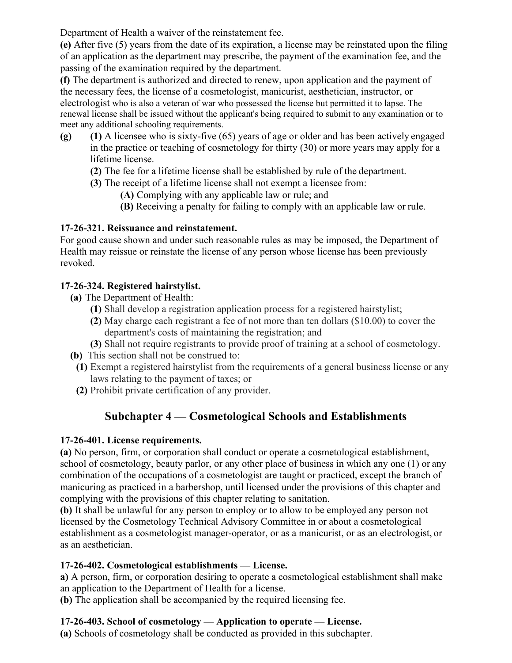Department of Health a waiver of the reinstatement fee.

**(e)** After five (5) years from the date of its expiration, a license may be reinstated upon the filing of an application as the department may prescribe, the payment of the examination fee, and the passing of the examination required by the department.

**(f)** The department is authorized and directed to renew, upon application and the payment of the necessary fees, the license of a cosmetologist, manicurist, aesthetician, instructor, or electrologist who is also a veteran of war who possessed the license but permitted it to lapse. The renewal license shall be issued without the applicant's being required to submit to any examination or to meet any additional schooling requirements.

- **(g) (1)** A licensee who is sixty-five (65) years of age or older and has been actively engaged in the practice or teaching of cosmetology for thirty (30) or more years may apply for a lifetime license.
	- **(2)** The fee for a lifetime license shall be established by rule of the department.
	- **(3)** The receipt of a lifetime license shall not exempt a licensee from:
		- **(A)** Complying with any applicable law or rule; and
		- **(B)** Receiving a penalty for failing to comply with an applicable law or rule.

# **17-26-321. Reissuance and reinstatement.**

For good cause shown and under such reasonable rules as may be imposed, the Department of Health may reissue or reinstate the license of any person whose license has been previously revoked.

# **17-26-324. Registered hairstylist.**

- **(a)** The Department of Health:
	- **(1)** Shall develop a registration application process for a registered hairstylist;
	- **(2)** May charge each registrant a fee of not more than ten dollars (\$10.00) to cover the department's costs of maintaining the registration; and
	- **(3)** Shall not require registrants to provide proof of training at a school of cosmetology.
- **(b)** This section shall not be construed to:
- **(1)** Exempt a registered hairstylist from the requirements of a general business license or any laws relating to the payment of taxes; or
- **(2)** Prohibit private certification of any provider.

# **Subchapter 4 — Cosmetological Schools and Establishments**

# **17-26-401. License requirements.**

**(a)** No person, firm, or corporation shall conduct or operate a cosmetological establishment, school of cosmetology, beauty parlor, or any other place of business in which any one (1) or any combination of the occupations of a cosmetologist are taught or practiced, except the branch of manicuring as practiced in a barbershop, until licensed under the provisions of this chapter and complying with the provisions of this chapter relating to sanitation.

**(b)** It shall be unlawful for any person to employ or to allow to be employed any person not licensed by the Cosmetology Technical Advisory Committee in or about a cosmetological establishment as a cosmetologist manager-operator, or as a manicurist, or as an electrologist, or as an aesthetician.

# **17-26-402. Cosmetological establishments — License.**

**a)** A person, firm, or corporation desiring to operate a cosmetological establishment shall make an application to the Department of Health for a license.

**(b)** The application shall be accompanied by the required licensing fee.

# **17-26-403. School of cosmetology — Application to operate — License.**

**(a)** Schools of cosmetology shall be conducted as provided in this subchapter.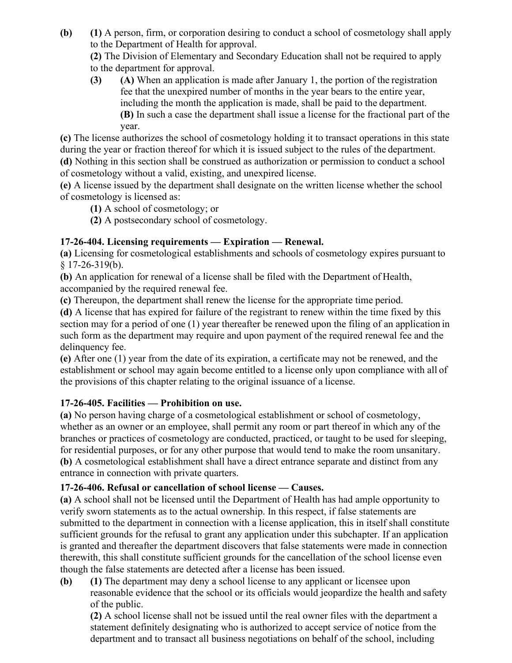**(b) (1)** A person, firm, or corporation desiring to conduct a school of cosmetology shall apply to the Department of Health for approval.

**(2)** The Division of Elementary and Secondary Education shall not be required to apply to the department for approval.

**(3) (A)** When an application is made after January 1, the portion of the registration fee that the unexpired number of months in the year bears to the entire year, including the month the application is made, shall be paid to the department. **(B)** In such a case the department shall issue a license for the fractional part of the year.

**(c)** The license authorizes the school of cosmetology holding it to transact operations in this state during the year or fraction thereof for which it is issued subject to the rules of the department. **(d)** Nothing in this section shall be construed as authorization or permission to conduct a school of cosmetology without a valid, existing, and unexpired license.

**(e)** A license issued by the department shall designate on the written license whether the school of cosmetology is licensed as:

**(1)** A school of cosmetology; or

**(2)** A postsecondary school of cosmetology.

# **17-26-404. Licensing requirements — Expiration — Renewal.**

**(a)** Licensing for cosmetological establishments and schools of cosmetology expires pursuant to  $$17-26-319(b).$ 

**(b)** An application for renewal of a license shall be filed with the Department of Health, accompanied by the required renewal fee.

**(c)** Thereupon, the department shall renew the license for the appropriate time period.

**(d)** A license that has expired for failure of the registrant to renew within the time fixed by this section may for a period of one (1) year thereafter be renewed upon the filing of an application in such form as the department may require and upon payment of the required renewal fee and the delinquency fee.

**(e)** After one (1) year from the date of its expiration, a certificate may not be renewed, and the establishment or school may again become entitled to a license only upon compliance with all of the provisions of this chapter relating to the original issuance of a license.

# **17-26-405. Facilities — Prohibition on use.**

**(a)** No person having charge of a cosmetological establishment or school of cosmetology, whether as an owner or an employee, shall permit any room or part thereof in which any of the branches or practices of cosmetology are conducted, practiced, or taught to be used for sleeping, for residential purposes, or for any other purpose that would tend to make the room unsanitary. **(b)** A cosmetological establishment shall have a direct entrance separate and distinct from any entrance in connection with private quarters.

# **17-26-406. Refusal or cancellation of school license — Causes.**

**(a)** A school shall not be licensed until the Department of Health has had ample opportunity to verify sworn statements as to the actual ownership. In this respect, if false statements are submitted to the department in connection with a license application, this in itself shall constitute sufficient grounds for the refusal to grant any application under this subchapter. If an application is granted and thereafter the department discovers that false statements were made in connection therewith, this shall constitute sufficient grounds for the cancellation of the school license even though the false statements are detected after a license has been issued.

**(b) (1)** The department may deny a school license to any applicant or licensee upon reasonable evidence that the school or its officials would jeopardize the health and safety of the public.

**(2)** A school license shall not be issued until the real owner files with the department a statement definitely designating who is authorized to accept service of notice from the department and to transact all business negotiations on behalf of the school, including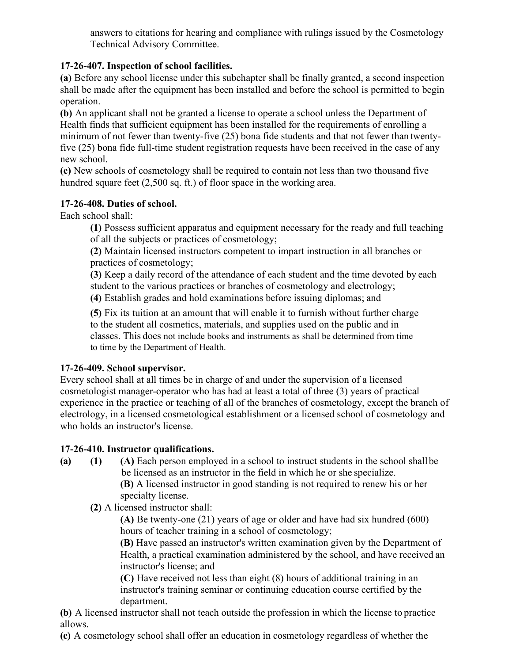answers to citations for hearing and compliance with rulings issued by the Cosmetology Technical Advisory Committee.

# **17-26-407. Inspection of school facilities.**

**(a)** Before any school license under this subchapter shall be finally granted, a second inspection shall be made after the equipment has been installed and before the school is permitted to begin operation.

**(b)** An applicant shall not be granted a license to operate a school unless the Department of Health finds that sufficient equipment has been installed for the requirements of enrolling a minimum of not fewer than twenty-five (25) bona fide students and that not fewer than twentyfive (25) bona fide full-time student registration requests have been received in the case of any new school.

**(c)** New schools of cosmetology shall be required to contain not less than two thousand five hundred square feet (2,500 sq. ft.) of floor space in the working area.

# **17-26-408. Duties of school.**

Each school shall:

**(1)** Possess sufficient apparatus and equipment necessary for the ready and full teaching of all the subjects or practices of cosmetology;

**(2)** Maintain licensed instructors competent to impart instruction in all branches or practices of cosmetology;

**(3)** Keep a daily record of the attendance of each student and the time devoted by each student to the various practices or branches of cosmetology and electrology;

**(4)** Establish grades and hold examinations before issuing diplomas; and

**(5)** Fix its tuition at an amount that will enable it to furnish without further charge to the student all cosmetics, materials, and supplies used on the public and in classes. This does not include books and instruments as shall be determined from time to time by the Department of Health.

# **17-26-409. School supervisor.**

Every school shall at all times be in charge of and under the supervision of a licensed cosmetologist manager-operator who has had at least a total of three (3) years of practical experience in the practice or teaching of all of the branches of cosmetology, except the branch of electrology, in a licensed cosmetological establishment or a licensed school of cosmetology and who holds an instructor's license.

# **17-26-410. Instructor qualifications.**

- **(a) (1) (A)** Each person employed in a school to instruct students in the school shallbe be licensed as an instructor in the field in which he or she specialize. **(B)** A licensed instructor in good standing is not required to renew his or her specialty license.
	- **(2)** A licensed instructor shall:

**(A)** Be twenty-one (21) years of age or older and have had six hundred (600) hours of teacher training in a school of cosmetology;

**(B)** Have passed an instructor's written examination given by the Department of Health, a practical examination administered by the school, and have received an instructor's license; and

**(C)** Have received not less than eight (8) hours of additional training in an instructor's training seminar or continuing education course certified by the department.

**(b)** A licensed instructor shall not teach outside the profession in which the license to practice allows.

**(c)** A cosmetology school shall offer an education in cosmetology regardless of whether the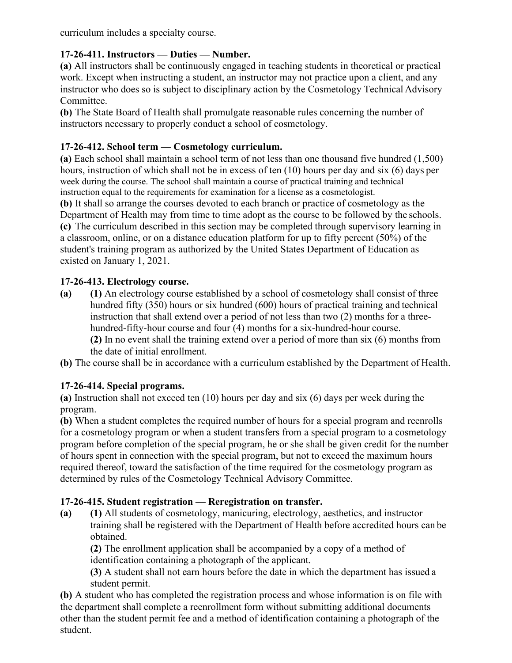curriculum includes a specialty course.

#### **17-26-411. Instructors — Duties — Number.**

**(a)** All instructors shall be continuously engaged in teaching students in theoretical or practical work. Except when instructing a student, an instructor may not practice upon a client, and any instructor who does so is subject to disciplinary action by the Cosmetology Technical Advisory Committee.

**(b)** The State Board of Health shall promulgate reasonable rules concerning the number of instructors necessary to properly conduct a school of cosmetology.

#### **17-26-412. School term — Cosmetology curriculum.**

**(a)** Each school shall maintain a school term of not less than one thousand five hundred (1,500) hours, instruction of which shall not be in excess of ten (10) hours per day and six (6) days per week during the course. The school shall maintain a course of practical training and technical instruction equal to the requirements for examination for a license as a cosmetologist.

**(b)** It shall so arrange the courses devoted to each branch or practice of cosmetology as the Department of Health may from time to time adopt as the course to be followed by the schools. **(c)** The curriculum described in this section may be completed through supervisory learning in a classroom, online, or on a distance education platform for up to fifty percent (50%) of the student's training program as authorized by the United States Department of Education as existed on January 1, 2021.

#### **17-26-413. Electrology course.**

**(a) (1)** An electrology course established by a school of cosmetology shall consist of three hundred fifty (350) hours or six hundred (600) hours of practical training and technical instruction that shall extend over a period of not less than two (2) months for a threehundred-fifty-hour course and four (4) months for a six-hundred-hour course.

**(2)** In no event shall the training extend over a period of more than six (6) months from the date of initial enrollment.

**(b)** The course shall be in accordance with a curriculum established by the Department of Health.

# **17-26-414. Special programs.**

**(a)** Instruction shall not exceed ten (10) hours per day and six (6) days per week during the program.

**(b)** When a student completes the required number of hours for a special program and reenrolls for a cosmetology program or when a student transfers from a special program to a cosmetology program before completion of the special program, he or she shall be given credit for the number of hours spent in connection with the special program, but not to exceed the maximum hours required thereof, toward the satisfaction of the time required for the cosmetology program as determined by rules of the Cosmetology Technical Advisory Committee.

# **17-26-415. Student registration — Reregistration on transfer.**

**(a) (1)** All students of cosmetology, manicuring, electrology, aesthetics, and instructor training shall be registered with the Department of Health before accredited hours can be obtained.

**(2)** The enrollment application shall be accompanied by a copy of a method of identification containing a photograph of the applicant.

**(3)** A student shall not earn hours before the date in which the department has issued a student permit.

**(b)** A student who has completed the registration process and whose information is on file with the department shall complete a reenrollment form without submitting additional documents other than the student permit fee and a method of identification containing a photograph of the student.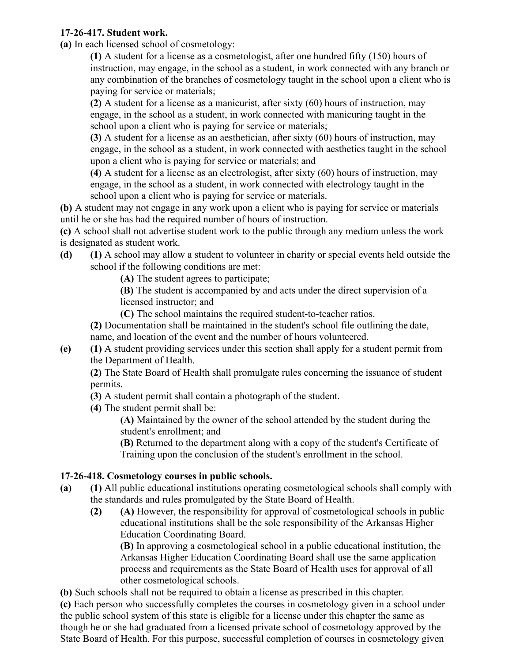#### **17-26-417. Student work.**

**(a)** In each licensed school of cosmetology:

**(1)** A student for a license as a cosmetologist, after one hundred fifty (150) hours of instruction, may engage, in the school as a student, in work connected with any branch or any combination of the branches of cosmetology taught in the school upon a client who is paying for service or materials;

**(2)** A student for a license as a manicurist, after sixty (60) hours of instruction, may engage, in the school as a student, in work connected with manicuring taught in the school upon a client who is paying for service or materials;

**(3)** A student for a license as an aesthetician, after sixty (60) hours of instruction, may engage, in the school as a student, in work connected with aesthetics taught in the school upon a client who is paying for service or materials; and

**(4)** A student for a license as an electrologist, after sixty (60) hours of instruction, may engage, in the school as a student, in work connected with electrology taught in the school upon a client who is paying for service or materials.

**(b)** A student may not engage in any work upon a client who is paying for service or materials until he or she has had the required number of hours of instruction.

**(c)** A school shall not advertise student work to the public through any medium unless the work is designated as student work.

**(d) (1)** A school may allow a student to volunteer in charity or special events held outside the school if the following conditions are met:

**(A)** The student agrees to participate;

**(B)** The student is accompanied by and acts under the direct supervision of a licensed instructor; and

**(C)** The school maintains the required student-to-teacher ratios.

**(2)** Documentation shall be maintained in the student's school file outlining the date, name, and location of the event and the number of hours volunteered.

**(e) (1)** A student providing services under this section shall apply for a student permit from the Department of Health.

**(2)** The State Board of Health shall promulgate rules concerning the issuance of student permits.

- **(3)** A student permit shall contain a photograph of the student.
- **(4)** The student permit shall be:

**(A)** Maintained by the owner of the school attended by the student during the student's enrollment; and

**(B)** Returned to the department along with a copy of the student's Certificate of Training upon the conclusion of the student's enrollment in the school.

# **17-26-418. Cosmetology courses in public schools.**

- **(a) (1)** All public educational institutions operating cosmetological schools shall comply with the standards and rules promulgated by the State Board of Health.
	- **(2) (A)** However, the responsibility for approval of cosmetological schools in public educational institutions shall be the sole responsibility of the Arkansas Higher Education Coordinating Board.

**(B)** In approving a cosmetological school in a public educational institution, the Arkansas Higher Education Coordinating Board shall use the same application process and requirements as the State Board of Health uses for approval of all other cosmetological schools.

**(b)** Such schools shall not be required to obtain a license as prescribed in this chapter.

**(c)** Each person who successfully completes the courses in cosmetology given in a school under the public school system of this state is eligible for a license under this chapter the same as though he or she had graduated from a licensed private school of cosmetology approved by the State Board of Health. For this purpose, successful completion of courses in cosmetology given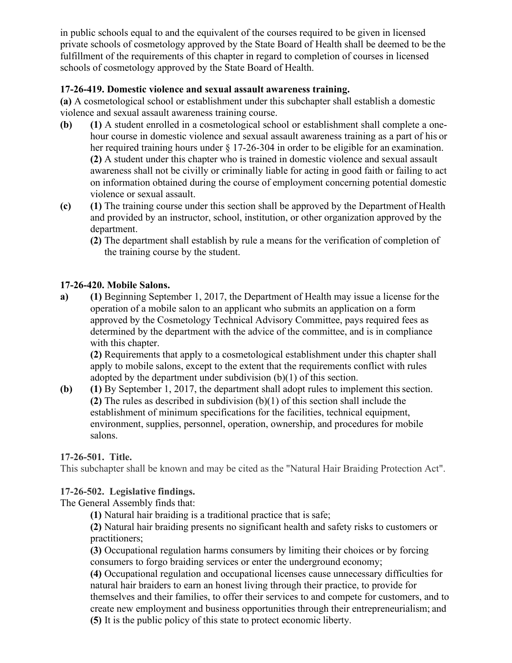in public schools equal to and the equivalent of the courses required to be given in licensed private schools of cosmetology approved by the State Board of Health shall be deemed to be the fulfillment of the requirements of this chapter in regard to completion of courses in licensed schools of cosmetology approved by the State Board of Health.

#### **17-26-419. Domestic violence and sexual assault awareness training.**

**(a)** A cosmetological school or establishment under this subchapter shall establish a domestic violence and sexual assault awareness training course.

- **(b) (1)** A student enrolled in a cosmetological school or establishment shall complete a onehour course in domestic violence and sexual assault awareness training as a part of his or her required training hours under § 17-26-304 in order to be eligible for an examination. **(2)** A student under this chapter who is trained in domestic violence and sexual assault awareness shall not be civilly or criminally liable for acting in good faith or failing to act on information obtained during the course of employment concerning potential domestic violence or sexual assault.
- **(c) (1)** The training course under this section shall be approved by the Department of Health and provided by an instructor, school, institution, or other organization approved by the department.
	- **(2)** The department shall establish by rule a means for the verification of completion of the training course by the student.

#### **17-26-420. Mobile Salons.**

**a) (1)** Beginning September 1, 2017, the Department of Health may issue a license for the operation of a mobile salon to an applicant who submits an application on a form approved by the Cosmetology Technical Advisory Committee, pays required fees as determined by the department with the advice of the committee, and is in compliance with this chapter.

**(2)** Requirements that apply to a cosmetological establishment under this chapter shall apply to mobile salons, except to the extent that the requirements conflict with rules adopted by the department under subdivision (b)(1) of this section.

**(b) (1)** By September 1, 2017, the department shall adopt rules to implement this section. **(2)** The rules as described in subdivision (b)(1) of this section shall include the establishment of minimum specifications for the facilities, technical equipment, environment, supplies, personnel, operation, ownership, and procedures for mobile salons.

**17-26-501. Title.**

This subchapter shall be known and may be cited as the "Natural Hair Braiding Protection Act".

#### **17-26-502. Legislative findings.**

The General Assembly finds that:

**(1)** Natural hair braiding is a traditional practice that is safe;

**(2)** Natural hair braiding presents no significant health and safety risks to customers or practitioners;

**(3)** Occupational regulation harms consumers by limiting their choices or by forcing consumers to forgo braiding services or enter the underground economy;

**(4)** Occupational regulation and occupational licenses cause unnecessary difficulties for natural hair braiders to earn an honest living through their practice, to provide for themselves and their families, to offer their services to and compete for customers, and to create new employment and business opportunities through their entrepreneurialism; and **(5)** It is the public policy of this state to protect economic liberty.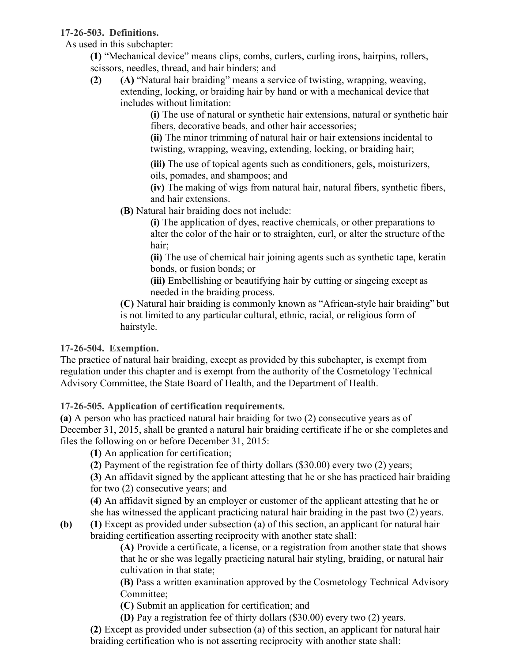#### **17-26-503. Definitions.**

As used in this subchapter:

**(1)** "Mechanical device" means clips, combs, curlers, curling irons, hairpins, rollers, scissors, needles, thread, and hair binders; and

**(2) (A)** "Natural hair braiding" means a service of twisting, wrapping, weaving, extending, locking, or braiding hair by hand or with a mechanical device that includes without limitation:

> **(i)** The use of natural or synthetic hair extensions, natural or synthetic hair fibers, decorative beads, and other hair accessories;

**(ii)** The minor trimming of natural hair or hair extensions incidental to twisting, wrapping, weaving, extending, locking, or braiding hair;

**(iii)** The use of topical agents such as conditioners, gels, moisturizers, oils, pomades, and shampoos; and

**(iv)** The making of wigs from natural hair, natural fibers, synthetic fibers, and hair extensions.

**(B)** Natural hair braiding does not include:

**(i)** The application of dyes, reactive chemicals, or other preparations to alter the color of the hair or to straighten, curl, or alter the structure of the hair;

**(ii)** The use of chemical hair joining agents such as synthetic tape, keratin bonds, or fusion bonds; or

**(iii)** Embellishing or beautifying hair by cutting or singeing except as needed in the braiding process.

**(C)** Natural hair braiding is commonly known as "African-style hair braiding" but is not limited to any particular cultural, ethnic, racial, or religious form of hairstyle.

# **17-26-504. Exemption.**

The practice of natural hair braiding, except as provided by this subchapter, is exempt from regulation under this chapter and is exempt from the authority of the Cosmetology Technical Advisory Committee, the State Board of Health, and the Department of Health.

# **17-26-505. Application of certification requirements.**

**(a)** A person who has practiced natural hair braiding for two (2) consecutive years as of December 31, 2015, shall be granted a natural hair braiding certificate if he or she completes and files the following on or before December 31, 2015:

**(1)** An application for certification;

**(2)** Payment of the registration fee of thirty dollars (\$30.00) every two (2) years;

**(3)** An affidavit signed by the applicant attesting that he or she has practiced hair braiding for two (2) consecutive years; and

**(4)** An affidavit signed by an employer or customer of the applicant attesting that he or she has witnessed the applicant practicing natural hair braiding in the past two (2) years.

**(b) (1)** Except as provided under subsection (a) of this section, an applicant for natural hair braiding certification asserting reciprocity with another state shall:

**(A)** Provide a certificate, a license, or a registration from another state that shows that he or she was legally practicing natural hair styling, braiding, or natural hair cultivation in that state;

**(B)** Pass a written examination approved by the Cosmetology Technical Advisory Committee;

**(C)** Submit an application for certification; and

**(D)** Pay a registration fee of thirty dollars (\$30.00) every two (2) years.

**(2)** Except as provided under subsection (a) of this section, an applicant for natural hair braiding certification who is not asserting reciprocity with another state shall: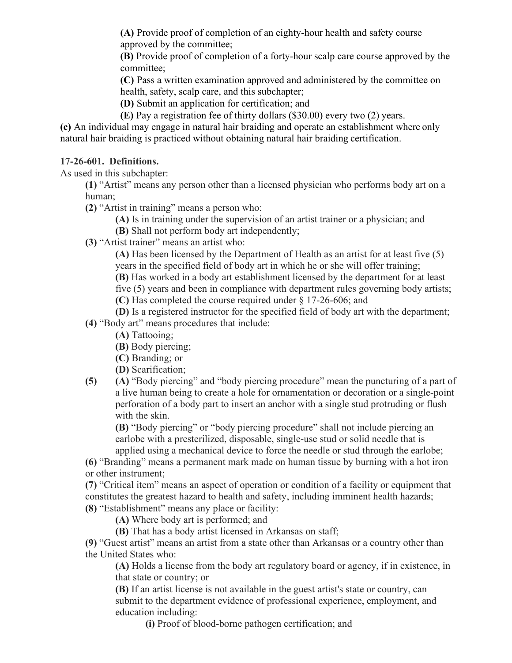**(A)** Provide proof of completion of an eighty-hour health and safety course approved by the committee;

**(B)** Provide proof of completion of a forty-hour scalp care course approved by the committee;

**(C)** Pass a written examination approved and administered by the committee on health, safety, scalp care, and this subchapter;

**(D)** Submit an application for certification; and

**(E)** Pay a registration fee of thirty dollars (\$30.00) every two (2) years.

**(c)** An individual may engage in natural hair braiding and operate an establishment where only natural hair braiding is practiced without obtaining natural hair braiding certification.

#### **17-26-601. Definitions.**

As used in this subchapter:

**(1)** "Artist" means any person other than a licensed physician who performs body art on a human;

**(2)** "Artist in training" means a person who:

**(A)** Is in training under the supervision of an artist trainer or a physician; and

**(B)** Shall not perform body art independently;

**(3)** "Artist trainer" means an artist who:

**(A)** Has been licensed by the Department of Health as an artist for at least five (5) years in the specified field of body art in which he or she will offer training;

**(B)** Has worked in a body art establishment licensed by the department for at least five (5) years and been in compliance with department rules governing body artists; **(C)** Has completed the course required under § 17-26-606; and

**(D)** Is a registered instructor for the specified field of body art with the department;

**(4)** "Body art" means procedures that include:

**(A)** Tattooing;

**(B)** Body piercing;

**(C)** Branding; or

**(D)** Scarification;

**(5) (A)** "Body piercing" and "body piercing procedure" mean the puncturing of a part of a live human being to create a hole for ornamentation or decoration or a single-point perforation of a body part to insert an anchor with a single stud protruding or flush with the skin.

**(B)** "Body piercing" or "body piercing procedure" shall not include piercing an earlobe with a presterilized, disposable, single-use stud or solid needle that is applied using a mechanical device to force the needle or stud through the earlobe;

**(6)** "Branding" means a permanent mark made on human tissue by burning with a hot iron or other instrument;

**(7)** "Critical item" means an aspect of operation or condition of a facility or equipment that constitutes the greatest hazard to health and safety, including imminent health hazards; **(8)** "Establishment" means any place or facility:

**(A)** Where body art is performed; and

**(B)** That has a body artist licensed in Arkansas on staff;

**(9)** "Guest artist" means an artist from a state other than Arkansas or a country other than the United States who:

**(A)** Holds a license from the body art regulatory board or agency, if in existence, in that state or country; or

**(B)** If an artist license is not available in the guest artist's state or country, can submit to the department evidence of professional experience, employment, and education including:

**(i)** Proof of blood-borne pathogen certification; and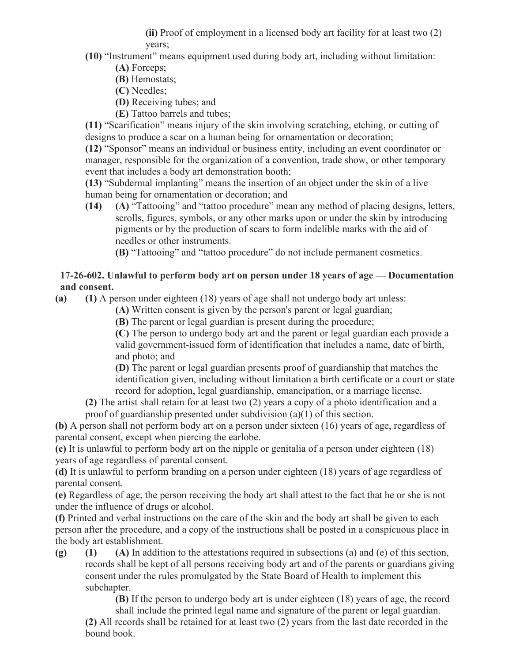**(ii)** Proof of employment in a licensed body art facility for at least two (2) years;

- **(10)** "Instrument" means equipment used during body art, including without limitation:
	- **(A)** Forceps;
	- **(B)** Hemostats;
	- **(C)** Needles;
	- **(D)** Receiving tubes; and
	- **(E)** Tattoo barrels and tubes;

**(11)** "Scarification" means injury of the skin involving scratching, etching, or cutting of designs to produce a scar on a human being for ornamentation or decoration;

**(12)** "Sponsor" means an individual or business entity, including an event coordinator or manager, responsible for the organization of a convention, trade show, or other temporary event that includes a body art demonstration booth;

**(13)** "Subdermal implanting" means the insertion of an object under the skin of a live human being for ornamentation or decoration; and

**(14) (A)** "Tattooing" and "tattoo procedure" mean any method of placing designs, letters, scrolls, figures, symbols, or any other marks upon or under the skin by introducing pigments or by the production of scars to form indelible marks with the aid of needles or other instruments.

**(B)** "Tattooing" and "tattoo procedure" do not include permanent cosmetics.

#### **17-26-602. Unlawful to perform body art on person under 18 years of age — Documentation and consent.**

**(a) (1)** A person under eighteen (18) years of age shall not undergo body art unless:

**(A)** Written consent is given by the person's parent or legal guardian;

**(B)** The parent or legal guardian is present during the procedure;

**(C)** The person to undergo body art and the parent or legal guardian each provide a valid government-issued form of identification that includes a name, date of birth, and photo; and

**(D)** The parent or legal guardian presents proof of guardianship that matches the identification given, including without limitation a birth certificate or a court or state record for adoption, legal guardianship, emancipation, or a marriage license.

**(2)** The artist shall retain for at least two (2) years a copy of a photo identification and a proof of guardianship presented under subdivision (a)(1) of this section.

**(b)** A person shall not perform body art on a person under sixteen (16) years of age, regardless of parental consent, except when piercing the earlobe.

**(c)** It is unlawful to perform body art on the nipple or genitalia of a person under eighteen (18) years of age regardless of parental consent.

**(d)** It is unlawful to perform branding on a person under eighteen (18) years of age regardless of parental consent.

**(e)** Regardless of age, the person receiving the body art shall attest to the fact that he or she is not under the influence of drugs or alcohol.

**(f)** Printed and verbal instructions on the care of the skin and the body art shall be given to each person after the procedure, and a copy of the instructions shall be posted in a conspicuous place in the body art establishment.

**(g) (1) (A)** In addition to the attestations required in subsections (a) and (e) of this section, records shall be kept of all persons receiving body art and of the parents or guardians giving consent under the rules promulgated by the State Board of Health to implement this subchapter.

**(B)** If the person to undergo body art is under eighteen (18) years of age, the record shall include the printed legal name and signature of the parent or legal guardian.

**(2)** All records shall be retained for at least two (2) years from the last date recorded in the bound book.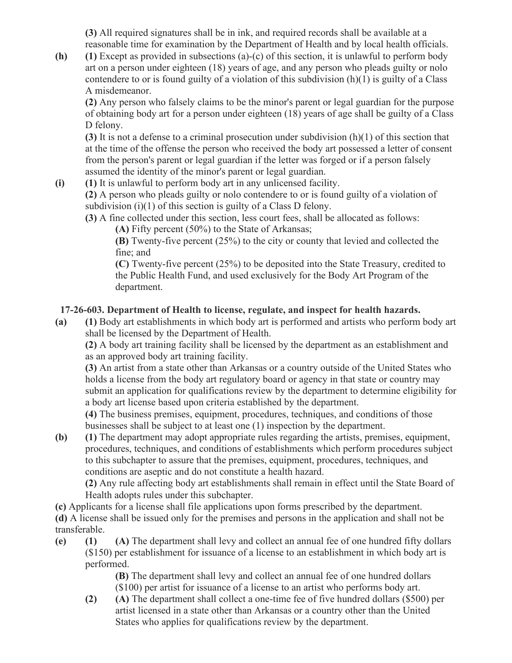**(3)** All required signatures shall be in ink, and required records shall be available at a reasonable time for examination by the Department of Health and by local health officials.

**(h) (1)** Except as provided in subsections (a)-(c) of this section, it is unlawful to perform body art on a person under eighteen (18) years of age, and any person who pleads guilty or nolo contendere to or is found guilty of a violation of this subdivision (h)(1) is guilty of a Class A misdemeanor.

**(2)** Any person who falsely claims to be the minor's parent or legal guardian for the purpose of obtaining body art for a person under eighteen (18) years of age shall be guilty of a Class D felony.

**(3)** It is not a defense to a criminal prosecution under subdivision (h)(1) of this section that at the time of the offense the person who received the body art possessed a letter of consent from the person's parent or legal guardian if the letter was forged or if a person falsely assumed the identity of the minor's parent or legal guardian.

**(i) (1)** It is unlawful to perform body art in any unlicensed facility.

**(2)** A person who pleads guilty or nolo contendere to or is found guilty of a violation of subdivision (i)(1) of this section is guilty of a Class D felony.

**(3)** A fine collected under this section, less court fees, shall be allocated as follows: **(A)** Fifty percent (50%) to the State of Arkansas;

**(B)** Twenty-five percent (25%) to the city or county that levied and collected the fine; and

**(C)** Twenty-five percent (25%) to be deposited into the State Treasury, credited to the Public Health Fund, and used exclusively for the Body Art Program of the department.

# **17-26-603. Department of Health to license, regulate, and inspect for health hazards.**

**(a) (1)** Body art establishments in which body art is performed and artists who perform body art shall be licensed by the Department of Health.

**(2)** A body art training facility shall be licensed by the department as an establishment and as an approved body art training facility.

**(3)** An artist from a state other than Arkansas or a country outside of the United States who holds a license from the body art regulatory board or agency in that state or country may submit an application for qualifications review by the department to determine eligibility for a body art license based upon criteria established by the department.

**(4)** The business premises, equipment, procedures, techniques, and conditions of those businesses shall be subject to at least one (1) inspection by the department.

**(b) (1)** The department may adopt appropriate rules regarding the artists, premises, equipment, procedures, techniques, and conditions of establishments which perform procedures subject to this subchapter to assure that the premises, equipment, procedures, techniques, and conditions are aseptic and do not constitute a health hazard.

**(2)** Any rule affecting body art establishments shall remain in effect until the State Board of Health adopts rules under this subchapter.

**(c)** Applicants for a license shall file applications upon forms prescribed by the department.

**(d)** A license shall be issued only for the premises and persons in the application and shall not be transferable.

**(e) (1) (A)** The department shall levy and collect an annual fee of one hundred fifty dollars (\$150) per establishment for issuance of a license to an establishment in which body art is performed.

**(B)** The department shall levy and collect an annual fee of one hundred dollars (\$100) per artist for issuance of a license to an artist who performs body art.

**(2) (A)** The department shall collect a one-time fee of five hundred dollars (\$500) per artist licensed in a state other than Arkansas or a country other than the United States who applies for qualifications review by the department.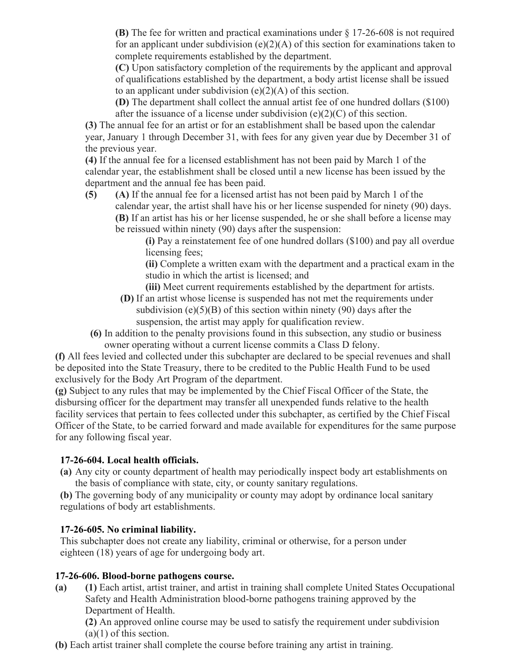**(B)** The fee for written and practical examinations under § 17-26-608 is not required for an applicant under subdivision  $(e)(2)(A)$  of this section for examinations taken to complete requirements established by the department.

**(C)** Upon satisfactory completion of the requirements by the applicant and approval of qualifications established by the department, a body artist license shall be issued to an applicant under subdivision  $(e)(2)(A)$  of this section.

**(D)** The department shall collect the annual artist fee of one hundred dollars (\$100) after the issuance of a license under subdivision  $(e)(2)(C)$  of this section.

**(3)** The annual fee for an artist or for an establishment shall be based upon the calendar year, January 1 through December 31, with fees for any given year due by December 31 of the previous year.

**(4)** If the annual fee for a licensed establishment has not been paid by March 1 of the calendar year, the establishment shall be closed until a new license has been issued by the department and the annual fee has been paid.

**(5) (A)** If the annual fee for a licensed artist has not been paid by March 1 of the calendar year, the artist shall have his or her license suspended for ninety (90) days. **(B)** If an artist has his or her license suspended, he or she shall before a license may be reissued within ninety (90) days after the suspension:

**(i)** Pay a reinstatement fee of one hundred dollars (\$100) and pay all overdue licensing fees;

**(ii)** Complete a written exam with the department and a practical exam in the studio in which the artist is licensed; and

**(iii)** Meet current requirements established by the department for artists.

- **(D)** If an artist whose license is suspended has not met the requirements under subdivision  $(e)(5)(B)$  of this section within ninety (90) days after the suspension, the artist may apply for qualification review.
- **(6)** In addition to the penalty provisions found in this subsection, any studio or business owner operating without a current license commits a Class D felony.

**(f)** All fees levied and collected under this subchapter are declared to be special revenues and shall be deposited into the State Treasury, there to be credited to the Public Health Fund to be used exclusively for the Body Art Program of the department.

**(g)** Subject to any rules that may be implemented by the Chief Fiscal Officer of the State, the disbursing officer for the department may transfer all unexpended funds relative to the health facility services that pertain to fees collected under this subchapter, as certified by the Chief Fiscal Officer of the State, to be carried forward and made available for expenditures for the same purpose for any following fiscal year.

#### **17-26-604. Local health officials.**

**(a)** Any city or county department of health may periodically inspect body art establishments on the basis of compliance with state, city, or county sanitary regulations.

**(b)** The governing body of any municipality or county may adopt by ordinance local sanitary regulations of body art establishments.

#### **17-26-605. No criminal liability.**

This subchapter does not create any liability, criminal or otherwise, for a person under eighteen (18) years of age for undergoing body art.

#### **17-26-606. Blood-borne pathogens course.**

**(a) (1)** Each artist, artist trainer, and artist in training shall complete United States Occupational Safety and Health Administration blood-borne pathogens training approved by the Department of Health.

**(2)** An approved online course may be used to satisfy the requirement under subdivision  $(a)(1)$  of this section.

**(b)** Each artist trainer shall complete the course before training any artist in training.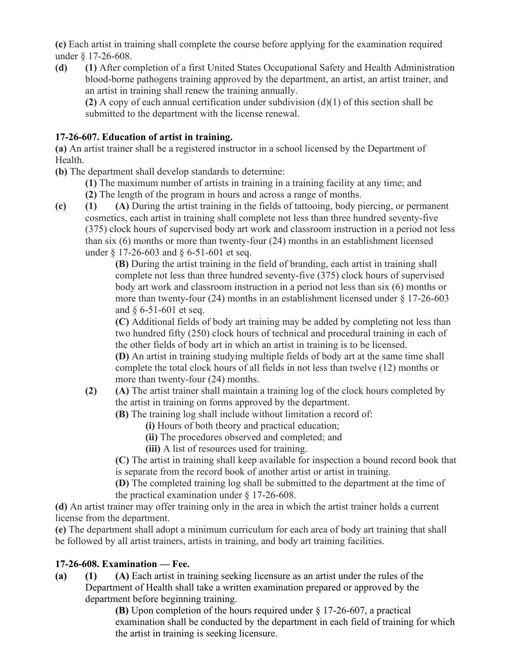**(c)** Each artist in training shall complete the course before applying for the examination required under § 17-26-608.

**(d) (1)** After completion of a first United States Occupational Safety and Health Administration blood-borne pathogens training approved by the department, an artist, an artist trainer, and an artist in training shall renew the training annually.

**(2)** A copy of each annual certification under subdivision (d)(1) of this section shall be submitted to the department with the license renewal.

# **17-26-607. Education of artist in training.**

**(a)** An artist trainer shall be a registered instructor in a school licensed by the Department of Health.

**(b)** The department shall develop standards to determine:

**(1)** The maximum number of artists in training in a training facility at any time; and **(2)** The length of the program in hours and across a range of months.

**(c) (1) (A)** During the artist training in the fields of tattooing, body piercing, or permanent cosmetics, each artist in training shall complete not less than three hundred seventy-five (375) clock hours of supervised body art work and classroom instruction in a period not less than six (6) months or more than twenty-four (24) months in an establishment licensed under § 17-26-603 and § 6-51-601 et seq.

**(B)** During the artist training in the field of branding, each artist in training shall complete not less than three hundred seventy-five (375) clock hours of supervised body art work and classroom instruction in a period not less than six (6) months or more than twenty-four (24) months in an establishment licensed under  $\S 17$ -26-603 and § 6-51-601 et seq.

**(C)** Additional fields of body art training may be added by completing not less than two hundred fifty (250) clock hours of technical and procedural training in each of the other fields of body art in which an artist in training is to be licensed.

**(D)** An artist in training studying multiple fields of body art at the same time shall complete the total clock hours of all fields in not less than twelve (12) months or more than twenty-four (24) months.

**(2) (A)** The artist trainer shall maintain a training log of the clock hours completed by the artist in training on forms approved by the department.

**(B)** The training log shall include without limitation a record of:

**(i)** Hours of both theory and practical education;

**(ii)** The procedures observed and completed; and

**(iii)** A list of resources used for training.

**(C)** The artist in training shall keep available for inspection a bound record book that is separate from the record book of another artist or artist in training.

**(D)** The completed training log shall be submitted to the department at the time of the practical examination under § 17-26-608.

**(d)** An artist trainer may offer training only in the area in which the artist trainer holds a current license from the department.

**(e)** The department shall adopt a minimum curriculum for each area of body art training that shall be followed by all artist trainers, artists in training, and body art training facilities.

# **17-26-608. Examination — Fee.**

**(a) (1) (A)** Each artist in training seeking licensure as an artist under the rules of the Department of Health shall take a written examination prepared or approved by the department before beginning training.

**(B)** Upon completion of the hours required under § 17-26-607, a practical examination shall be conducted by the department in each field of training for which the artist in training is seeking licensure.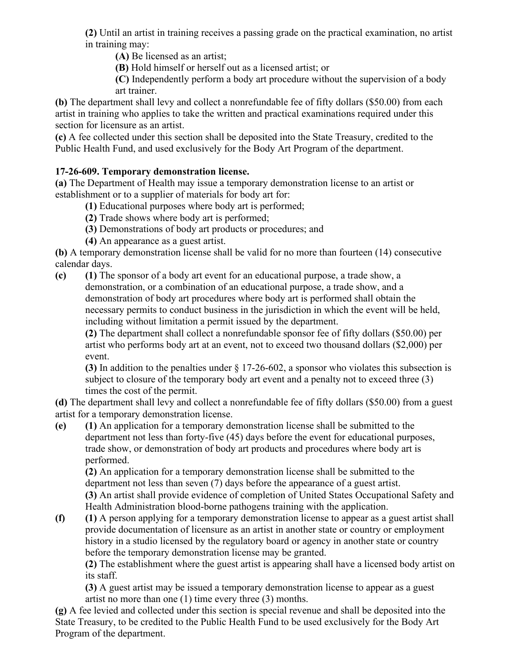**(2)** Until an artist in training receives a passing grade on the practical examination, no artist in training may:

**(A)** Be licensed as an artist;

**(B)** Hold himself or herself out as a licensed artist; or

**(C)** Independently perform a body art procedure without the supervision of a body art trainer.

**(b)** The department shall levy and collect a nonrefundable fee of fifty dollars (\$50.00) from each artist in training who applies to take the written and practical examinations required under this section for licensure as an artist.

**(c)** A fee collected under this section shall be deposited into the State Treasury, credited to the Public Health Fund, and used exclusively for the Body Art Program of the department.

# **17-26-609. Temporary demonstration license.**

**(a)** The Department of Health may issue a temporary demonstration license to an artist or establishment or to a supplier of materials for body art for:

- **(1)** Educational purposes where body art is performed;
- **(2)** Trade shows where body art is performed;
- **(3)** Demonstrations of body art products or procedures; and
- **(4)** An appearance as a guest artist.

**(b)** A temporary demonstration license shall be valid for no more than fourteen (14) consecutive calendar days.

**(c) (1)** The sponsor of a body art event for an educational purpose, a trade show, a

demonstration, or a combination of an educational purpose, a trade show, and a demonstration of body art procedures where body art is performed shall obtain the necessary permits to conduct business in the jurisdiction in which the event will be held, including without limitation a permit issued by the department.

**(2)** The department shall collect a nonrefundable sponsor fee of fifty dollars (\$50.00) per artist who performs body art at an event, not to exceed two thousand dollars (\$2,000) per event.

**(3)** In addition to the penalties under § 17-26-602, a sponsor who violates this subsection is subject to closure of the temporary body art event and a penalty not to exceed three (3) times the cost of the permit.

**(d)** The department shall levy and collect a nonrefundable fee of fifty dollars (\$50.00) from a guest artist for a temporary demonstration license.

**(e) (1)** An application for a temporary demonstration license shall be submitted to the department not less than forty-five (45) days before the event for educational purposes, trade show, or demonstration of body art products and procedures where body art is performed.

**(2)** An application for a temporary demonstration license shall be submitted to the department not less than seven (7) days before the appearance of a guest artist. **(3)** An artist shall provide evidence of completion of United States Occupational Safety and Health Administration blood-borne pathogens training with the application.

**(f) (1)** A person applying for a temporary demonstration license to appear as a guest artist shall provide documentation of licensure as an artist in another state or country or employment history in a studio licensed by the regulatory board or agency in another state or country before the temporary demonstration license may be granted.

**(2)** The establishment where the guest artist is appearing shall have a licensed body artist on its staff.

**(3)** A guest artist may be issued a temporary demonstration license to appear as a guest artist no more than one (1) time every three (3) months.

**(g)** A fee levied and collected under this section is special revenue and shall be deposited into the State Treasury, to be credited to the Public Health Fund to be used exclusively for the Body Art Program of the department.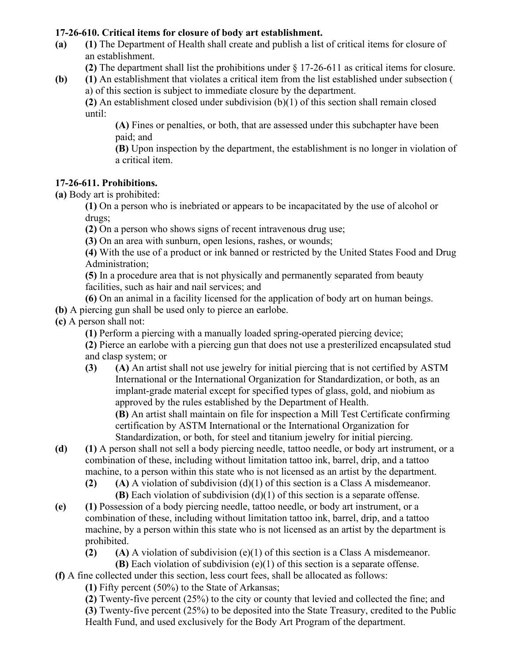#### **17-26-610. Critical items for closure of body art establishment.**

**(a) (1)** The Department of Health shall create and publish a list of critical items for closure of an establishment.

**(2)** The department shall list the prohibitions under § 17-26-611 as critical items for closure.

**(b) (1)** An establishment that violates a critical item from the list established under subsection ( a) of this section is subject to immediate closure by the department.

**(2)** An establishment closed under subdivision (b)(1) of this section shall remain closed until:

**(A)** Fines or penalties, or both, that are assessed under this subchapter have been paid; and

**(B)** Upon inspection by the department, the establishment is no longer in violation of a critical item.

#### **17-26-611. Prohibitions.**

**(a)** Body art is prohibited:

**(1)** On a person who is inebriated or appears to be incapacitated by the use of alcohol or drugs;

**(2)** On a person who shows signs of recent intravenous drug use;

**(3)** On an area with sunburn, open lesions, rashes, or wounds;

**(4)** With the use of a product or ink banned or restricted by the United States Food and Drug Administration;

**(5)** In a procedure area that is not physically and permanently separated from beauty facilities, such as hair and nail services; and

**(6)** On an animal in a facility licensed for the application of body art on human beings.

**(b)** A piercing gun shall be used only to pierce an earlobe.

**(c)** A person shall not:

**(1)** Perform a piercing with a manually loaded spring-operated piercing device;

**(2)** Pierce an earlobe with a piercing gun that does not use a presterilized encapsulated stud and clasp system; or

- **(3) (A)** An artist shall not use jewelry for initial piercing that is not certified by ASTM International or the International Organization for Standardization, or both, as an implant-grade material except for specified types of glass, gold, and niobium as approved by the rules established by the Department of Health. **(B)** An artist shall maintain on file for inspection a Mill Test Certificate confirming certification by ASTM International or the International Organization for Standardization, or both, for steel and titanium jewelry for initial piercing.
- **(d) (1)** A person shall not sell a body piercing needle, tattoo needle, or body art instrument, or a combination of these, including without limitation tattoo ink, barrel, drip, and a tattoo machine, to a person within this state who is not licensed as an artist by the department.
	- **(2) (A)** A violation of subdivision (d)(1) of this section is a Class A misdemeanor. **(B)** Each violation of subdivision (d)(1) of this section is a separate offense.
- **(e) (1)** Possession of a body piercing needle, tattoo needle, or body art instrument, or a combination of these, including without limitation tattoo ink, barrel, drip, and a tattoo machine, by a person within this state who is not licensed as an artist by the department is prohibited.

**(2) (A)** A violation of subdivision (e)(1) of this section is a Class A misdemeanor.

**(B)** Each violation of subdivision (e)(1) of this section is a separate offense.

**(f)** A fine collected under this section, less court fees, shall be allocated as follows:

**(1)** Fifty percent (50%) to the State of Arkansas;

**(2)** Twenty-five percent (25%) to the city or county that levied and collected the fine; and **(3)** Twenty-five percent (25%) to be deposited into the State Treasury, credited to the Public Health Fund, and used exclusively for the Body Art Program of the department.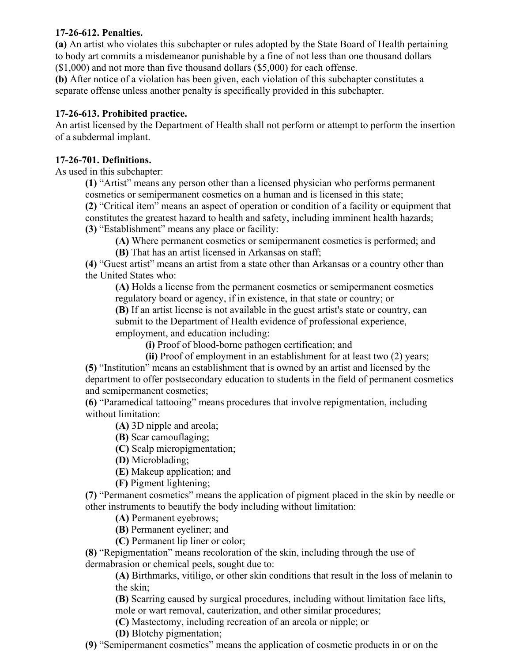#### **17-26-612. Penalties.**

**(a)** An artist who violates this subchapter or rules adopted by the State Board of Health pertaining to body art commits a misdemeanor punishable by a fine of not less than one thousand dollars (\$1,000) and not more than five thousand dollars (\$5,000) for each offense.

**(b)** After notice of a violation has been given, each violation of this subchapter constitutes a separate offense unless another penalty is specifically provided in this subchapter.

#### **17-26-613. Prohibited practice.**

An artist licensed by the Department of Health shall not perform or attempt to perform the insertion of a subdermal implant.

#### **17-26-701. Definitions.**

As used in this subchapter:

**(1)** "Artist" means any person other than a licensed physician who performs permanent cosmetics or semipermanent cosmetics on a human and is licensed in this state;

**(2)** "Critical item" means an aspect of operation or condition of a facility or equipment that constitutes the greatest hazard to health and safety, including imminent health hazards;

**(3)** "Establishment" means any place or facility:

**(A)** Where permanent cosmetics or semipermanent cosmetics is performed; and **(B)** That has an artist licensed in Arkansas on staff;

**(4)** "Guest artist" means an artist from a state other than Arkansas or a country other than the United States who:

**(A)** Holds a license from the permanent cosmetics or semipermanent cosmetics regulatory board or agency, if in existence, in that state or country; or

**(B)** If an artist license is not available in the guest artist's state or country, can submit to the Department of Health evidence of professional experience, employment, and education including:

**(i)** Proof of blood-borne pathogen certification; and

**(ii)** Proof of employment in an establishment for at least two (2) years; **(5)** "Institution" means an establishment that is owned by an artist and licensed by the department to offer postsecondary education to students in the field of permanent cosmetics and semipermanent cosmetics;

**(6)** "Paramedical tattooing" means procedures that involve repigmentation, including without limitation:

**(A)** 3D nipple and areola;

**(B)** Scar camouflaging;

**(C)** Scalp micropigmentation;

**(D)** Microblading;

**(E)** Makeup application; and

**(F)** Pigment lightening;

**(7)** "Permanent cosmetics" means the application of pigment placed in the skin by needle or other instruments to beautify the body including without limitation:

**(A)** Permanent eyebrows;

**(B)** Permanent eyeliner; and

**(C)** Permanent lip liner or color;

**(8)** "Repigmentation" means recoloration of the skin, including through the use of

dermabrasion or chemical peels, sought due to:

**(A)** Birthmarks, vitiligo, or other skin conditions that result in the loss of melanin to the skin;

**(B)** Scarring caused by surgical procedures, including without limitation face lifts, mole or wart removal, cauterization, and other similar procedures;

**(C)** Mastectomy, including recreation of an areola or nipple; or

**(D)** Blotchy pigmentation;

**(9)** "Semipermanent cosmetics" means the application of cosmetic products in or on the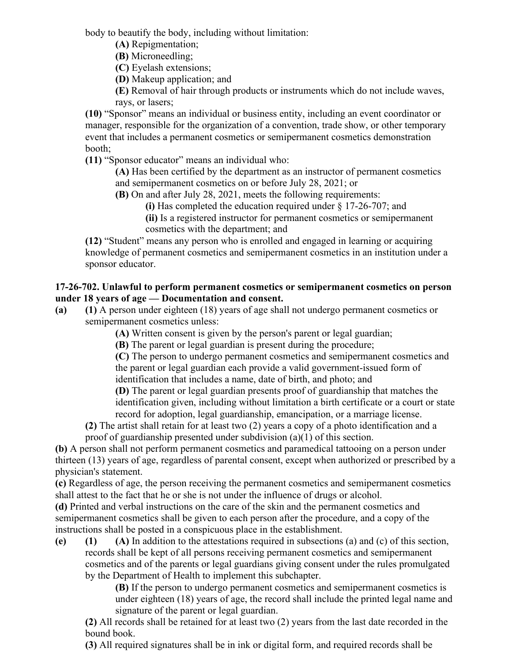body to beautify the body, including without limitation:

**(A)** Repigmentation;

**(B)** Microneedling;

**(C)** Eyelash extensions;

**(D)** Makeup application; and

**(E)** Removal of hair through products or instruments which do not include waves, rays, or lasers;

**(10)** "Sponsor" means an individual or business entity, including an event coordinator or manager, responsible for the organization of a convention, trade show, or other temporary event that includes a permanent cosmetics or semipermanent cosmetics demonstration booth;

**(11)** "Sponsor educator" means an individual who:

**(A)** Has been certified by the department as an instructor of permanent cosmetics and semipermanent cosmetics on or before July 28, 2021; or

**(B)** On and after July 28, 2021, meets the following requirements:

**(i)** Has completed the education required under § 17-26-707; and

**(ii)** Is a registered instructor for permanent cosmetics or semipermanent cosmetics with the department; and

**(12)** "Student" means any person who is enrolled and engaged in learning or acquiring knowledge of permanent cosmetics and semipermanent cosmetics in an institution under a sponsor educator.

#### **17-26-702. Unlawful to perform permanent cosmetics or semipermanent cosmetics on person under 18 years of age — Documentation and consent.**

**(a) (1)** A person under eighteen (18) years of age shall not undergo permanent cosmetics or semipermanent cosmetics unless:

**(A)** Written consent is given by the person's parent or legal guardian;

**(B)** The parent or legal guardian is present during the procedure;

**(C)** The person to undergo permanent cosmetics and semipermanent cosmetics and the parent or legal guardian each provide a valid government-issued form of identification that includes a name, date of birth, and photo; and

**(D)** The parent or legal guardian presents proof of guardianship that matches the identification given, including without limitation a birth certificate or a court or state record for adoption, legal guardianship, emancipation, or a marriage license.

**(2)** The artist shall retain for at least two (2) years a copy of a photo identification and a proof of guardianship presented under subdivision (a)(1) of this section.

**(b)** A person shall not perform permanent cosmetics and paramedical tattooing on a person under thirteen (13) years of age, regardless of parental consent, except when authorized or prescribed by a physician's statement.

**(c)** Regardless of age, the person receiving the permanent cosmetics and semipermanent cosmetics shall attest to the fact that he or she is not under the influence of drugs or alcohol.

**(d)** Printed and verbal instructions on the care of the skin and the permanent cosmetics and semipermanent cosmetics shall be given to each person after the procedure, and a copy of the instructions shall be posted in a conspicuous place in the establishment.

**(e) (1) (A)** In addition to the attestations required in subsections (a) and (c) of this section, records shall be kept of all persons receiving permanent cosmetics and semipermanent cosmetics and of the parents or legal guardians giving consent under the rules promulgated by the Department of Health to implement this subchapter.

**(B)** If the person to undergo permanent cosmetics and semipermanent cosmetics is under eighteen (18) years of age, the record shall include the printed legal name and signature of the parent or legal guardian.

**(2)** All records shall be retained for at least two (2) years from the last date recorded in the bound book.

**(3)** All required signatures shall be in ink or digital form, and required records shall be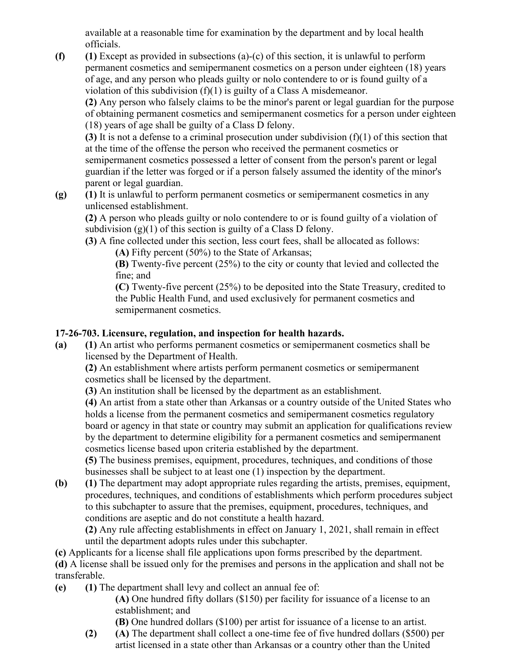available at a reasonable time for examination by the department and by local health officials.

**(f) (1)** Except as provided in subsections (a)-(c) of this section, it is unlawful to perform permanent cosmetics and semipermanent cosmetics on a person under eighteen (18) years of age, and any person who pleads guilty or nolo contendere to or is found guilty of a violation of this subdivision (f)(1) is guilty of a Class A misdemeanor.

**(2)** Any person who falsely claims to be the minor's parent or legal guardian for the purpose of obtaining permanent cosmetics and semipermanent cosmetics for a person under eighteen (18) years of age shall be guilty of a Class D felony.

**(3)** It is not a defense to a criminal prosecution under subdivision (f)(1) of this section that at the time of the offense the person who received the permanent cosmetics or semipermanent cosmetics possessed a letter of consent from the person's parent or legal guardian if the letter was forged or if a person falsely assumed the identity of the minor's parent or legal guardian.

**(g) (1)** It is unlawful to perform permanent cosmetics or semipermanent cosmetics in any unlicensed establishment.

**(2)** A person who pleads guilty or nolo contendere to or is found guilty of a violation of subdivision  $(g)(1)$  of this section is guilty of a Class D felony.

**(3)** A fine collected under this section, less court fees, shall be allocated as follows: **(A)** Fifty percent (50%) to the State of Arkansas;

**(B)** Twenty-five percent (25%) to the city or county that levied and collected the fine; and

**(C)** Twenty-five percent (25%) to be deposited into the State Treasury, credited to the Public Health Fund, and used exclusively for permanent cosmetics and semipermanent cosmetics.

#### **17-26-703. Licensure, regulation, and inspection for health hazards.**

**(a) (1)** An artist who performs permanent cosmetics or semipermanent cosmetics shall be licensed by the Department of Health.

**(2)** An establishment where artists perform permanent cosmetics or semipermanent cosmetics shall be licensed by the department.

**(3)** An institution shall be licensed by the department as an establishment.

**(4)** An artist from a state other than Arkansas or a country outside of the United States who holds a license from the permanent cosmetics and semipermanent cosmetics regulatory board or agency in that state or country may submit an application for qualifications review by the department to determine eligibility for a permanent cosmetics and semipermanent cosmetics license based upon criteria established by the department.

**(5)** The business premises, equipment, procedures, techniques, and conditions of those businesses shall be subject to at least one (1) inspection by the department.

**(b) (1)** The department may adopt appropriate rules regarding the artists, premises, equipment, procedures, techniques, and conditions of establishments which perform procedures subject to this subchapter to assure that the premises, equipment, procedures, techniques, and conditions are aseptic and do not constitute a health hazard.

**(2)** Any rule affecting establishments in effect on January 1, 2021, shall remain in effect until the department adopts rules under this subchapter.

**(c)** Applicants for a license shall file applications upon forms prescribed by the department.

**(d)** A license shall be issued only for the premises and persons in the application and shall not be transferable.

**(e) (1)** The department shall levy and collect an annual fee of:

**(A)** One hundred fifty dollars (\$150) per facility for issuance of a license to an establishment; and

**(B)** One hundred dollars (\$100) per artist for issuance of a license to an artist.

**(2) (A)** The department shall collect a one-time fee of five hundred dollars (\$500) per artist licensed in a state other than Arkansas or a country other than the United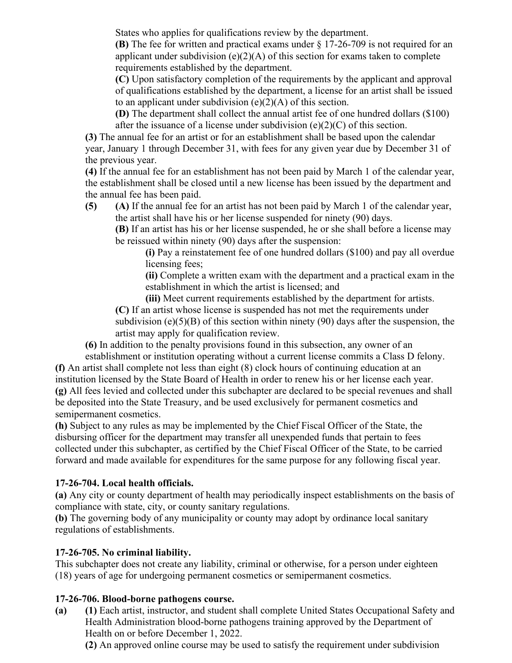States who applies for qualifications review by the department.

**(B)** The fee for written and practical exams under § 17-26-709 is not required for an applicant under subdivision (e)(2)(A) of this section for exams taken to complete requirements established by the department.

**(C)** Upon satisfactory completion of the requirements by the applicant and approval of qualifications established by the department, a license for an artist shall be issued to an applicant under subdivision  $(e)(2)(A)$  of this section.

**(D)** The department shall collect the annual artist fee of one hundred dollars (\$100) after the issuance of a license under subdivision (e)(2)(C) of this section.

**(3)** The annual fee for an artist or for an establishment shall be based upon the calendar year, January 1 through December 31, with fees for any given year due by December 31 of the previous year.

**(4)** If the annual fee for an establishment has not been paid by March 1 of the calendar year, the establishment shall be closed until a new license has been issued by the department and the annual fee has been paid.

**(5) (A)** If the annual fee for an artist has not been paid by March 1 of the calendar year, the artist shall have his or her license suspended for ninety (90) days.

**(B)** If an artist has his or her license suspended, he or she shall before a license may be reissued within ninety (90) days after the suspension:

**(i)** Pay a reinstatement fee of one hundred dollars (\$100) and pay all overdue licensing fees;

**(ii)** Complete a written exam with the department and a practical exam in the establishment in which the artist is licensed; and

**(iii)** Meet current requirements established by the department for artists.

**(C)** If an artist whose license is suspended has not met the requirements under subdivision (e)(5)(B) of this section within ninety (90) days after the suspension, the artist may apply for qualification review.

**(6)** In addition to the penalty provisions found in this subsection, any owner of an

establishment or institution operating without a current license commits a Class D felony. **(f)** An artist shall complete not less than eight (8) clock hours of continuing education at an institution licensed by the State Board of Health in order to renew his or her license each year. **(g)** All fees levied and collected under this subchapter are declared to be special revenues and shall be deposited into the State Treasury, and be used exclusively for permanent cosmetics and semipermanent cosmetics.

**(h)** Subject to any rules as may be implemented by the Chief Fiscal Officer of the State, the disbursing officer for the department may transfer all unexpended funds that pertain to fees collected under this subchapter, as certified by the Chief Fiscal Officer of the State, to be carried forward and made available for expenditures for the same purpose for any following fiscal year.

# **17-26-704. Local health officials.**

**(a)** Any city or county department of health may periodically inspect establishments on the basis of compliance with state, city, or county sanitary regulations.

**(b)** The governing body of any municipality or county may adopt by ordinance local sanitary regulations of establishments.

#### **17-26-705. No criminal liability.**

This subchapter does not create any liability, criminal or otherwise, for a person under eighteen (18) years of age for undergoing permanent cosmetics or semipermanent cosmetics.

# **17-26-706. Blood-borne pathogens course.**

**(a) (1)** Each artist, instructor, and student shall complete United States Occupational Safety and Health Administration blood-borne pathogens training approved by the Department of Health on or before December 1, 2022.

**(2)** An approved online course may be used to satisfy the requirement under subdivision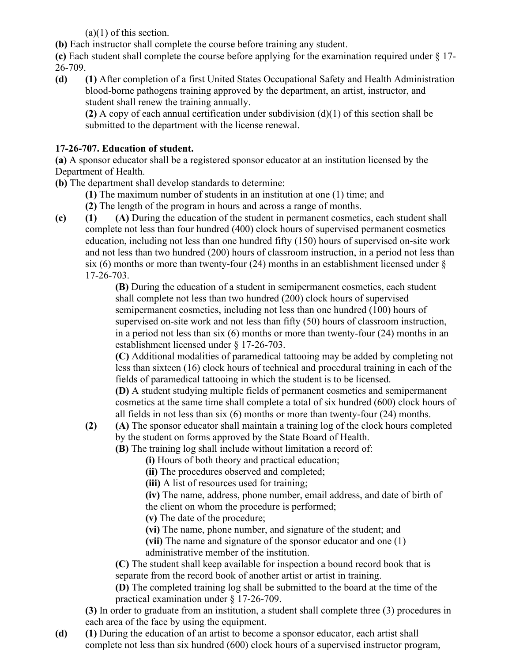$(a)(1)$  of this section.

**(b)** Each instructor shall complete the course before training any student.

**(c)** Each student shall complete the course before applying for the examination required under § 17- 26-709.

**(d) (1)** After completion of a first United States Occupational Safety and Health Administration blood-borne pathogens training approved by the department, an artist, instructor, and student shall renew the training annually.

**(2)** A copy of each annual certification under subdivision (d)(1) of this section shall be submitted to the department with the license renewal.

# **17-26-707. Education of student.**

**(a)** A sponsor educator shall be a registered sponsor educator at an institution licensed by the Department of Health.

**(b)** The department shall develop standards to determine:

**(1)** The maximum number of students in an institution at one (1) time; and

**(2)** The length of the program in hours and across a range of months.

**(c) (1) (A)** During the education of the student in permanent cosmetics, each student shall complete not less than four hundred (400) clock hours of supervised permanent cosmetics education, including not less than one hundred fifty (150) hours of supervised on-site work and not less than two hundred (200) hours of classroom instruction, in a period not less than six (6) months or more than twenty-four (24) months in an establishment licensed under  $\delta$ 17-26-703.

**(B)** During the education of a student in semipermanent cosmetics, each student shall complete not less than two hundred (200) clock hours of supervised semipermanent cosmetics, including not less than one hundred (100) hours of supervised on-site work and not less than fifty (50) hours of classroom instruction, in a period not less than six (6) months or more than twenty-four (24) months in an establishment licensed under § 17-26-703.

**(C)** Additional modalities of paramedical tattooing may be added by completing not less than sixteen (16) clock hours of technical and procedural training in each of the fields of paramedical tattooing in which the student is to be licensed.

**(D)** A student studying multiple fields of permanent cosmetics and semipermanent cosmetics at the same time shall complete a total of six hundred (600) clock hours of all fields in not less than six (6) months or more than twenty-four (24) months.

**(2) (A)** The sponsor educator shall maintain a training log of the clock hours completed by the student on forms approved by the State Board of Health.

**(B)** The training log shall include without limitation a record of:

**(i)** Hours of both theory and practical education;

**(ii)** The procedures observed and completed;

**(iii)** A list of resources used for training;

**(iv)** The name, address, phone number, email address, and date of birth of the client on whom the procedure is performed;

**(v)** The date of the procedure;

**(vi)** The name, phone number, and signature of the student; and

**(vii)** The name and signature of the sponsor educator and one (1)

administrative member of the institution.

**(C)** The student shall keep available for inspection a bound record book that is separate from the record book of another artist or artist in training.

**(D)** The completed training log shall be submitted to the board at the time of the practical examination under § 17-26-709.

**(3)** In order to graduate from an institution, a student shall complete three (3) procedures in each area of the face by using the equipment.

**(d) (1)** During the education of an artist to become a sponsor educator, each artist shall complete not less than six hundred (600) clock hours of a supervised instructor program,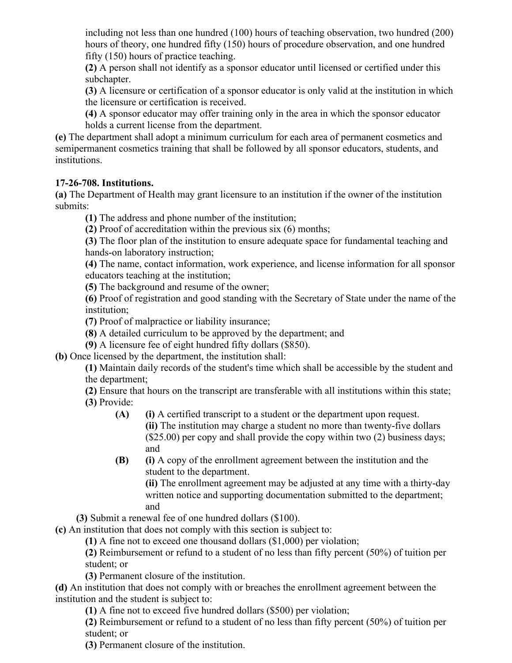including not less than one hundred (100) hours of teaching observation, two hundred (200) hours of theory, one hundred fifty (150) hours of procedure observation, and one hundred fifty (150) hours of practice teaching.

**(2)** A person shall not identify as a sponsor educator until licensed or certified under this subchapter.

**(3)** A licensure or certification of a sponsor educator is only valid at the institution in which the licensure or certification is received.

**(4)** A sponsor educator may offer training only in the area in which the sponsor educator holds a current license from the department.

**(e)** The department shall adopt a minimum curriculum for each area of permanent cosmetics and semipermanent cosmetics training that shall be followed by all sponsor educators, students, and institutions.

#### **17-26-708. Institutions.**

**(a)** The Department of Health may grant licensure to an institution if the owner of the institution submits:

**(1)** The address and phone number of the institution;

**(2)** Proof of accreditation within the previous six (6) months;

**(3)** The floor plan of the institution to ensure adequate space for fundamental teaching and hands-on laboratory instruction;

**(4)** The name, contact information, work experience, and license information for all sponsor educators teaching at the institution;

**(5)** The background and resume of the owner;

**(6)** Proof of registration and good standing with the Secretary of State under the name of the institution;

**(7)** Proof of malpractice or liability insurance;

**(8)** A detailed curriculum to be approved by the department; and

**(9)** A licensure fee of eight hundred fifty dollars (\$850).

**(b)** Once licensed by the department, the institution shall:

**(1)** Maintain daily records of the student's time which shall be accessible by the student and the department;

**(2)** Ensure that hours on the transcript are transferable with all institutions within this state; **(3)** Provide:

- **(A) (i)** A certified transcript to a student or the department upon request. **(ii)** The institution may charge a student no more than twenty-five dollars (\$25.00) per copy and shall provide the copy within two (2) business days; and
- **(B) (i)** A copy of the enrollment agreement between the institution and the student to the department.

**(ii)** The enrollment agreement may be adjusted at any time with a thirty-day written notice and supporting documentation submitted to the department; and

**(3)** Submit a renewal fee of one hundred dollars (\$100).

**(c)** An institution that does not comply with this section is subject to:

**(1)** A fine not to exceed one thousand dollars (\$1,000) per violation;

**(2)** Reimbursement or refund to a student of no less than fifty percent (50%) of tuition per student; or

**(3)** Permanent closure of the institution.

**(d)** An institution that does not comply with or breaches the enrollment agreement between the institution and the student is subject to:

**(1)** A fine not to exceed five hundred dollars (\$500) per violation;

**(2)** Reimbursement or refund to a student of no less than fifty percent (50%) of tuition per student; or

**(3)** Permanent closure of the institution.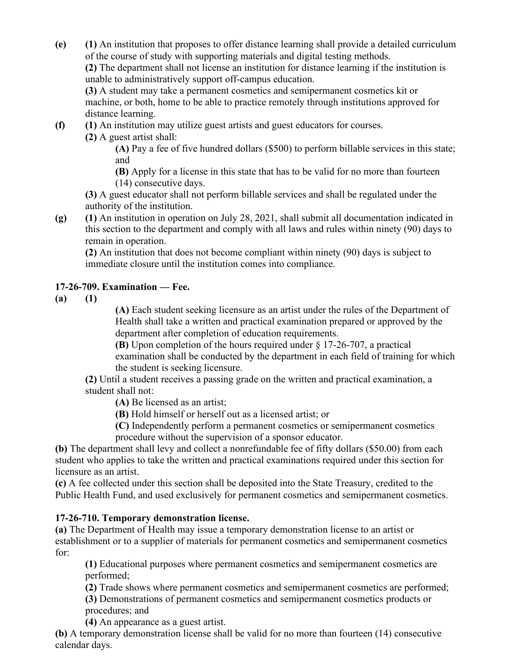**(e) (1)** An institution that proposes to offer distance learning shall provide a detailed curriculum of the course of study with supporting materials and digital testing methods.

**(2)** The department shall not license an institution for distance learning if the institution is unable to administratively support off-campus education.

**(3)** A student may take a permanent cosmetics and semipermanent cosmetics kit or machine, or both, home to be able to practice remotely through institutions approved for distance learning.

**(f) (1)** An institution may utilize guest artists and guest educators for courses.

**(2)** A guest artist shall:

**(A)** Pay a fee of five hundred dollars (\$500) to perform billable services in this state; and

**(B)** Apply for a license in this state that has to be valid for no more than fourteen (14) consecutive days.

**(3)** A guest educator shall not perform billable services and shall be regulated under the authority of the institution.

**(g) (1)** An institution in operation on July 28, 2021, shall submit all documentation indicated in this section to the department and comply with all laws and rules within ninety (90) days to remain in operation.

**(2)** An institution that does not become compliant within ninety (90) days is subject to immediate closure until the institution comes into compliance.

# **17-26-709. Examination — Fee.**

**(a) (1)**

**(A)** Each student seeking licensure as an artist under the rules of the Department of Health shall take a written and practical examination prepared or approved by the department after completion of education requirements.

**(B)** Upon completion of the hours required under § 17-26-707, a practical examination shall be conducted by the department in each field of training for which the student is seeking licensure.

**(2)** Until a student receives a passing grade on the written and practical examination, a student shall not:

**(A)** Be licensed as an artist;

**(B)** Hold himself or herself out as a licensed artist; or

**(C)** Independently perform a permanent cosmetics or semipermanent cosmetics procedure without the supervision of a sponsor educator.

**(b)** The department shall levy and collect a nonrefundable fee of fifty dollars (\$50.00) from each student who applies to take the written and practical examinations required under this section for licensure as an artist.

**(c)** A fee collected under this section shall be deposited into the State Treasury, credited to the Public Health Fund, and used exclusively for permanent cosmetics and semipermanent cosmetics.

# **17-26-710. Temporary demonstration license.**

**(a)** The Department of Health may issue a temporary demonstration license to an artist or establishment or to a supplier of materials for permanent cosmetics and semipermanent cosmetics for:

**(1)** Educational purposes where permanent cosmetics and semipermanent cosmetics are performed;

**(2)** Trade shows where permanent cosmetics and semipermanent cosmetics are performed;

**(3)** Demonstrations of permanent cosmetics and semipermanent cosmetics products or procedures; and

**(4)** An appearance as a guest artist.

**(b)** A temporary demonstration license shall be valid for no more than fourteen (14) consecutive calendar days.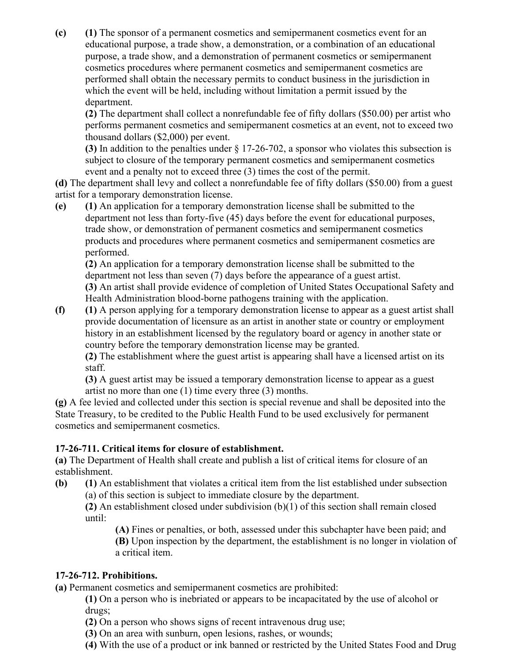**(c) (1)** The sponsor of a permanent cosmetics and semipermanent cosmetics event for an educational purpose, a trade show, a demonstration, or a combination of an educational purpose, a trade show, and a demonstration of permanent cosmetics or semipermanent cosmetics procedures where permanent cosmetics and semipermanent cosmetics are performed shall obtain the necessary permits to conduct business in the jurisdiction in which the event will be held, including without limitation a permit issued by the department.

**(2)** The department shall collect a nonrefundable fee of fifty dollars (\$50.00) per artist who performs permanent cosmetics and semipermanent cosmetics at an event, not to exceed two thousand dollars (\$2,000) per event.

**(3)** In addition to the penalties under § 17-26-702, a sponsor who violates this subsection is subject to closure of the temporary permanent cosmetics and semipermanent cosmetics event and a penalty not to exceed three (3) times the cost of the permit.

**(d)** The department shall levy and collect a nonrefundable fee of fifty dollars (\$50.00) from a guest artist for a temporary demonstration license.

**(e) (1)** An application for a temporary demonstration license shall be submitted to the department not less than forty-five (45) days before the event for educational purposes, trade show, or demonstration of permanent cosmetics and semipermanent cosmetics products and procedures where permanent cosmetics and semipermanent cosmetics are performed.

**(2)** An application for a temporary demonstration license shall be submitted to the department not less than seven (7) days before the appearance of a guest artist.

**(3)** An artist shall provide evidence of completion of United States Occupational Safety and Health Administration blood-borne pathogens training with the application.

**(f) (1)** A person applying for a temporary demonstration license to appear as a guest artist shall provide documentation of licensure as an artist in another state or country or employment history in an establishment licensed by the regulatory board or agency in another state or country before the temporary demonstration license may be granted.

**(2)** The establishment where the guest artist is appearing shall have a licensed artist on its staff.

**(3)** A guest artist may be issued a temporary demonstration license to appear as a guest artist no more than one (1) time every three (3) months.

**(g)** A fee levied and collected under this section is special revenue and shall be deposited into the State Treasury, to be credited to the Public Health Fund to be used exclusively for permanent cosmetics and semipermanent cosmetics.

# **17-26-711. Critical items for closure of establishment.**

**(a)** The Department of Health shall create and publish a list of critical items for closure of an establishment.

**(b) (1)** An establishment that violates a critical item from the list established under subsection (a) of this section is subject to immediate closure by the department.

**(2)** An establishment closed under subdivision (b)(1) of this section shall remain closed until:

**(A)** Fines or penalties, or both, assessed under this subchapter have been paid; and **(B)** Upon inspection by the department, the establishment is no longer in violation of a critical item.

# **17-26-712. Prohibitions.**

**(a)** Permanent cosmetics and semipermanent cosmetics are prohibited:

**(1)** On a person who is inebriated or appears to be incapacitated by the use of alcohol or drugs;

**(2)** On a person who shows signs of recent intravenous drug use;

- **(3)** On an area with sunburn, open lesions, rashes, or wounds;
- **(4)** With the use of a product or ink banned or restricted by the United States Food and Drug